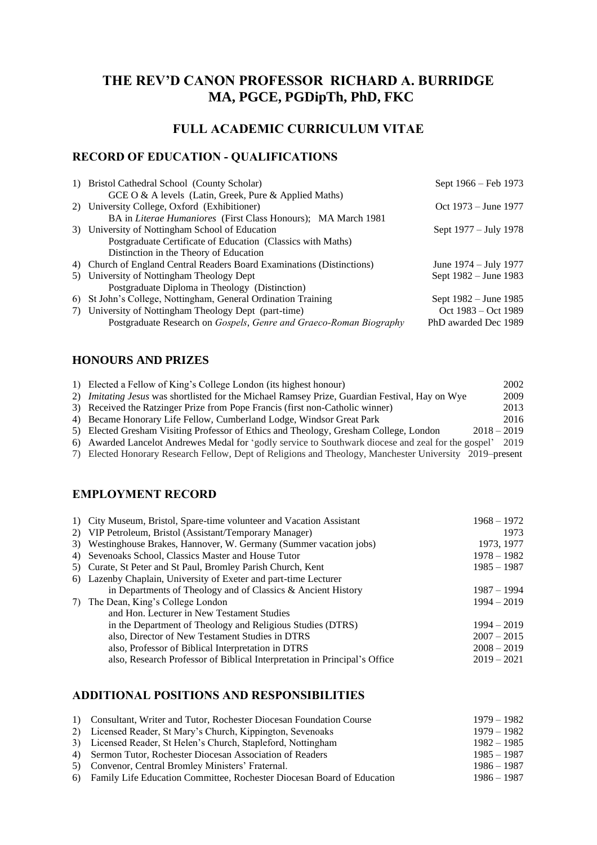# **THE REV'D CANON PROFESSOR RICHARD A. BURRIDGE MA, PGCE, PGDipTh, PhD, FKC**

# **FULL ACADEMIC CURRICULUM VITAE**

# **RECORD OF EDUCATION - QUALIFICATIONS**

| 1) Bristol Cathedral School (County Scholar)                           | Sept 1966 – Feb 1973     |
|------------------------------------------------------------------------|--------------------------|
| GCE O & A levels (Latin, Greek, Pure & Applied Maths)                  |                          |
| 2) University College, Oxford (Exhibitioner)                           | Oct $1973 -$ June $1977$ |
| BA in Literae Humaniores (First Class Honours); MA March 1981          |                          |
| 3) University of Nottingham School of Education                        | Sept 1977 – July 1978    |
| Postgraduate Certificate of Education (Classics with Maths)            |                          |
| Distinction in the Theory of Education                                 |                          |
| 4) Church of England Central Readers Board Examinations (Distinctions) | June 1974 – July 1977    |
| 5) University of Nottingham Theology Dept                              | Sept 1982 – June 1983    |
| Postgraduate Diploma in Theology (Distinction)                         |                          |
| 6) St John's College, Nottingham, General Ordination Training          | Sept 1982 – June 1985    |
| 7) University of Nottingham Theology Dept (part-time)                  | Oct 1983 – Oct 1989      |
| Postgraduate Research on Gospels, Genre and Graeco-Roman Biography     | PhD awarded Dec 1989     |

## **HONOURS AND PRIZES**

| 1) Elected a Fellow of King's College London (its highest honour)                                       |               | 2002 |
|---------------------------------------------------------------------------------------------------------|---------------|------|
| 2) <i>Imitating Jesus</i> was shortlisted for the Michael Ramsey Prize, Guardian Festival, Hay on Wye   |               | 2009 |
| 3) Received the Ratzinger Prize from Pope Francis (first non-Catholic winner)                           |               | 2013 |
| 4) Became Honorary Life Fellow, Cumberland Lodge, Windsor Great Park                                    |               | 2016 |
| 5) Elected Gresham Visiting Professor of Ethics and Theology, Gresham College, London                   | $2018 - 2019$ |      |
| 6) Awarded Lancelot Andrewes Medal for 'godly service to Southwark diocese and zeal for the gospel'     |               | 2019 |
| 7) Elected Honorary Research Fellow, Dept of Religions and Theology, Manchester University 2019–present |               |      |
|                                                                                                         |               |      |

## **EMPLOYMENT RECORD**

| 1) City Museum, Bristol, Spare-time volunteer and Vacation Assistant      | $1968 - 1972$ |
|---------------------------------------------------------------------------|---------------|
| 2) VIP Petroleum, Bristol (Assistant/Temporary Manager)                   | 1973          |
| 3) Westinghouse Brakes, Hannover, W. Germany (Summer vacation jobs)       | 1973, 1977    |
| 4) Sevenoaks School, Classics Master and House Tutor                      | $1978 - 1982$ |
| 5) Curate, St Peter and St Paul, Bromley Parish Church, Kent              | $1985 - 1987$ |
| 6) Lazenby Chaplain, University of Exeter and part-time Lecturer          |               |
| in Departments of Theology and of Classics & Ancient History              | $1987 - 1994$ |
| 7) The Dean, King's College London                                        | $1994 - 2019$ |
| and Hon. Lecturer in New Testament Studies                                |               |
| in the Department of Theology and Religious Studies (DTRS)                | $1994 - 2019$ |
| also, Director of New Testament Studies in DTRS                           | $2007 - 2015$ |
| also, Professor of Biblical Interpretation in DTRS                        | $2008 - 2019$ |
| also, Research Professor of Biblical Interpretation in Principal's Office | $2019 - 2021$ |
|                                                                           |               |

## **ADDITIONAL POSITIONS AND RESPONSIBILITIES**

| 1) Consultant, Writer and Tutor, Rochester Diocesan Foundation Course     | $1979 - 1982$ |
|---------------------------------------------------------------------------|---------------|
| 2) Licensed Reader, St Mary's Church, Kippington, Sevenoaks               | 1979 – 1982   |
| 3) Licensed Reader, St Helen's Church, Stapleford, Nottingham             | $1982 - 1985$ |
| 4) Sermon Tutor, Rochester Diocesan Association of Readers                | $1985 - 1987$ |
| 5) Convenor, Central Bromley Ministers' Fraternal.                        | $1986 - 1987$ |
| 6) Family Life Education Committee, Rochester Diocesan Board of Education | $1986 - 1987$ |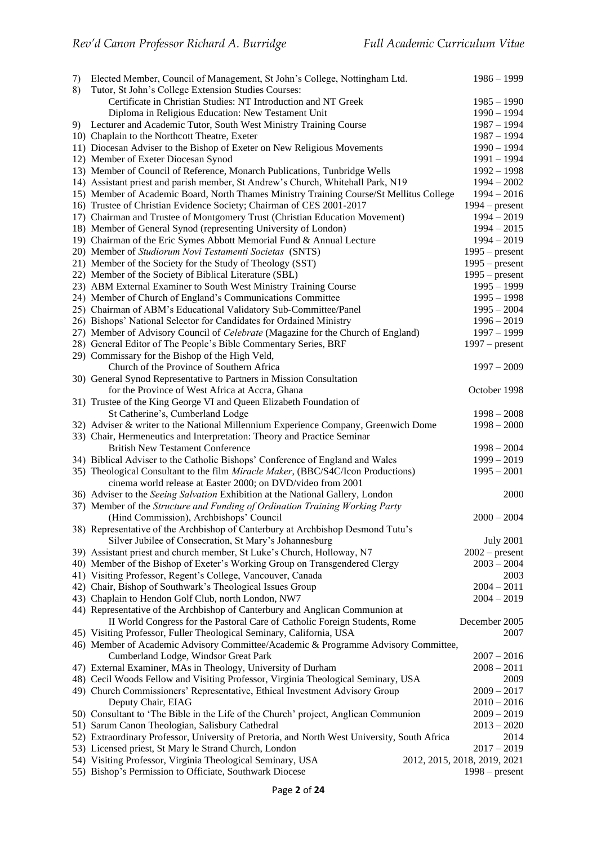| 7)<br>8) | Elected Member, Council of Management, St John's College, Nottingham Ltd.<br>Tutor, St John's College Extension Studies Courses: | $1986 - 1999$                |
|----------|----------------------------------------------------------------------------------------------------------------------------------|------------------------------|
|          | Certificate in Christian Studies: NT Introduction and NT Greek                                                                   | $1985 - 1990$                |
|          | Diploma in Religious Education: New Testament Unit                                                                               | $1990 - 1994$                |
| 9).      | Lecturer and Academic Tutor, South West Ministry Training Course                                                                 | $1987 - 1994$                |
|          | 10) Chaplain to the Northcott Theatre, Exeter                                                                                    | $1987 - 1994$                |
|          | 11) Diocesan Adviser to the Bishop of Exeter on New Religious Movements                                                          | $1990 - 1994$                |
|          | 12) Member of Exeter Diocesan Synod                                                                                              | $1991 - 1994$                |
|          | 13) Member of Council of Reference, Monarch Publications, Tunbridge Wells                                                        | $1992 - 1998$                |
|          | 14) Assistant priest and parish member, St Andrew's Church, Whitehall Park, N19                                                  | $1994 - 2002$                |
|          | 15) Member of Academic Board, North Thames Ministry Training Course/St Mellitus College                                          | $1994 - 2016$                |
|          | 16) Trustee of Christian Evidence Society; Chairman of CES 2001-2017                                                             | $1994 - present$             |
|          | 17) Chairman and Trustee of Montgomery Trust (Christian Education Movement)                                                      | $1994 - 2019$                |
|          |                                                                                                                                  | $1994 - 2015$                |
|          | 18) Member of General Synod (representing University of London)                                                                  |                              |
|          | 19) Chairman of the Eric Symes Abbott Memorial Fund & Annual Lecture                                                             | $1994 - 2019$                |
|          | 20) Member of Studiorum Novi Testamenti Societas (SNTS)                                                                          | $1995$ – present             |
|          | 21) Member of the Society for the Study of Theology (SST)                                                                        | $1995$ – present             |
|          | 22) Member of the Society of Biblical Literature (SBL)                                                                           | $1995$ – present             |
|          | 23) ABM External Examiner to South West Ministry Training Course                                                                 | $1995 - 1999$                |
|          | 24) Member of Church of England's Communications Committee                                                                       | $1995 - 1998$                |
|          | 25) Chairman of ABM's Educational Validatory Sub-Committee/Panel                                                                 | $1995 - 2004$                |
|          | 26) Bishops' National Selector for Candidates for Ordained Ministry                                                              | $1996 - 2019$                |
|          | 27) Member of Advisory Council of <i>Celebrate</i> (Magazine for the Church of England)                                          | $1997 - 1999$                |
|          | 28) General Editor of The People's Bible Commentary Series, BRF                                                                  | $1997$ – present             |
|          | 29) Commissary for the Bishop of the High Veld,                                                                                  |                              |
|          | Church of the Province of Southern Africa                                                                                        | $1997 - 2009$                |
|          | 30) General Synod Representative to Partners in Mission Consultation                                                             |                              |
|          | for the Province of West Africa at Accra, Ghana                                                                                  | October 1998                 |
|          | 31) Trustee of the King George VI and Queen Elizabeth Foundation of                                                              |                              |
|          | St Catherine's, Cumberland Lodge                                                                                                 | $1998 - 2008$                |
|          | 32) Adviser & writer to the National Millennium Experience Company, Greenwich Dome                                               | $1998 - 2000$                |
|          | 33) Chair, Hermeneutics and Interpretation: Theory and Practice Seminar                                                          |                              |
|          | <b>British New Testament Conference</b>                                                                                          | $1998 - 2004$                |
|          | 34) Biblical Adviser to the Catholic Bishops' Conference of England and Wales                                                    | $1999 - 2019$                |
|          | 35) Theological Consultant to the film Miracle Maker, (BBC/S4C/Icon Productions)                                                 | $1995 - 2001$                |
|          | cinema world release at Easter 2000; on DVD/video from 2001                                                                      |                              |
|          | 36) Adviser to the Seeing Salvation Exhibition at the National Gallery, London                                                   | 2000                         |
|          | 37) Member of the Structure and Funding of Ordination Training Working Party                                                     |                              |
|          | (Hind Commission), Archbishops' Council                                                                                          | $2000 - 2004$                |
|          | 38) Representative of the Archbishop of Canterbury at Archbishop Desmond Tutu's                                                  |                              |
|          | Silver Jubilee of Consecration, St Mary's Johannesburg                                                                           | <b>July 2001</b>             |
|          | 39) Assistant priest and church member, St Luke's Church, Holloway, N7                                                           | $2002$ – present             |
|          | 40) Member of the Bishop of Exeter's Working Group on Transgendered Clergy                                                       | $2003 - 2004$                |
|          | 41) Visiting Professor, Regent's College, Vancouver, Canada                                                                      | 2003                         |
|          | 42) Chair, Bishop of Southwark's Theological Issues Group                                                                        | $2004 - 2011$                |
|          | 43) Chaplain to Hendon Golf Club, north London, NW7                                                                              | $2004 - 2019$                |
|          | 44) Representative of the Archbishop of Canterbury and Anglican Communion at                                                     |                              |
|          | II World Congress for the Pastoral Care of Catholic Foreign Students, Rome                                                       | December 2005                |
|          | 45) Visiting Professor, Fuller Theological Seminary, California, USA                                                             | 2007                         |
|          | 46) Member of Academic Advisory Committee/Academic & Programme Advisory Committee,                                               |                              |
|          | Cumberland Lodge, Windsor Great Park                                                                                             | $2007 - 2016$                |
|          | 47) External Examiner, MAs in Theology, University of Durham                                                                     | $2008 - 2011$                |
|          | 48) Cecil Woods Fellow and Visiting Professor, Virginia Theological Seminary, USA                                                | 2009                         |
|          | 49) Church Commissioners' Representative, Ethical Investment Advisory Group                                                      | $2009 - 2017$                |
|          | Deputy Chair, EIAG                                                                                                               | $2010 - 2016$                |
|          | 50) Consultant to 'The Bible in the Life of the Church' project, Anglican Communion                                              | $2009 - 2019$                |
|          | 51) Sarum Canon Theologian, Salisbury Cathedral                                                                                  | $2013 - 2020$                |
|          | 52) Extraordinary Professor, University of Pretoria, and North West University, South Africa                                     | 2014                         |
|          | 53) Licensed priest, St Mary le Strand Church, London                                                                            | $2017 - 2019$                |
|          | 54) Visiting Professor, Virginia Theological Seminary, USA                                                                       | 2012, 2015, 2018, 2019, 2021 |
|          | 55) Bishop's Permission to Officiate, Southwark Diocese                                                                          | $1998 - present$             |
|          |                                                                                                                                  |                              |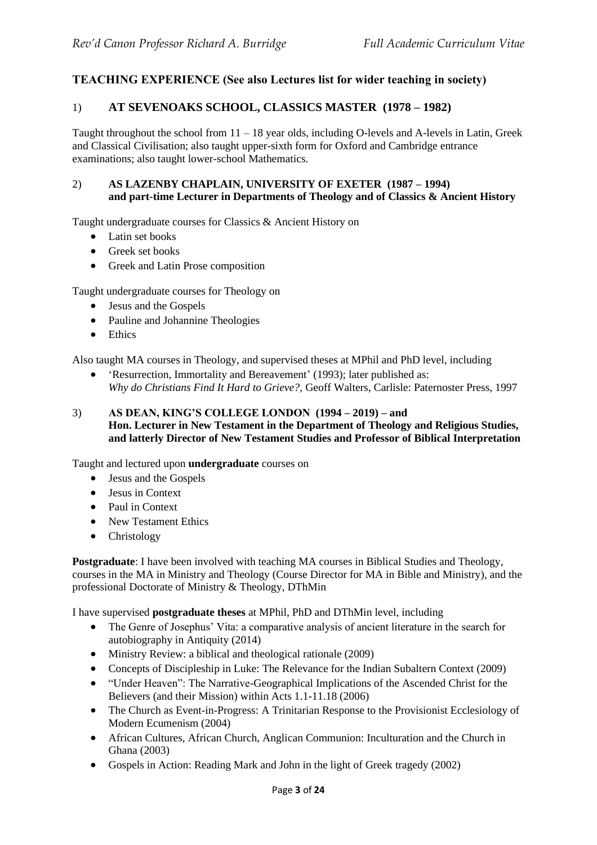## **TEACHING EXPERIENCE (See also Lectures list for wider teaching in society)**

## 1) **AT SEVENOAKS SCHOOL, CLASSICS MASTER (1978 – 1982)**

Taught throughout the school from  $11 - 18$  year olds, including O-levels and A-levels in Latin, Greek and Classical Civilisation; also taught upper-sixth form for Oxford and Cambridge entrance examinations; also taught lower-school Mathematics.

## 2) **AS LAZENBY CHAPLAIN, UNIVERSITY OF EXETER (1987 – 1994) and part-time Lecturer in Departments of Theology and of Classics & Ancient History**

Taught undergraduate courses for Classics & Ancient History on

- Latin set books
- Greek set books
- Greek and Latin Prose composition

Taught undergraduate courses for Theology on

- Jesus and the Gospels
- Pauline and Johannine Theologies
- Ethics

Also taught MA courses in Theology, and supervised theses at MPhil and PhD level, including

• 'Resurrection, Immortality and Bereavement' (1993); later published as: *Why do Christians Find It Hard to Grieve?,* Geoff Walters, Carlisle: Paternoster Press, 1997

## 3) **AS DEAN, KING'S COLLEGE LONDON (1994 – 2019) – and Hon. Lecturer in New Testament in the Department of Theology and Religious Studies, and latterly Director of New Testament Studies and Professor of Biblical Interpretation**

Taught and lectured upon **undergraduate** courses on

- Jesus and the Gospels
- Jesus in Context
- Paul in Context
- New Testament Ethics
- Christology

**Postgraduate**: I have been involved with teaching MA courses in Biblical Studies and Theology, courses in the MA in Ministry and Theology (Course Director for MA in Bible and Ministry), and the professional Doctorate of Ministry & Theology, DThMin

I have supervised **postgraduate theses** at MPhil, PhD and DThMin level, including

- The Genre of Josephus' Vita: a comparative analysis of ancient literature in the search for autobiography in Antiquity (2014)
- Ministry Review: a biblical and theological rationale (2009)
- Concepts of Discipleship in Luke: The Relevance for the Indian Subaltern Context (2009)
- "Under Heaven": The Narrative-Geographical Implications of the Ascended Christ for the Believers (and their Mission) within Acts 1.1-11.18 (2006)
- The Church as Event-in-Progress: A Trinitarian Response to the Provisionist Ecclesiology of Modern Ecumenism (2004)
- African Cultures, African Church, Anglican Communion: Inculturation and the Church in Ghana (2003)
- Gospels in Action: Reading Mark and John in the light of Greek tragedy (2002)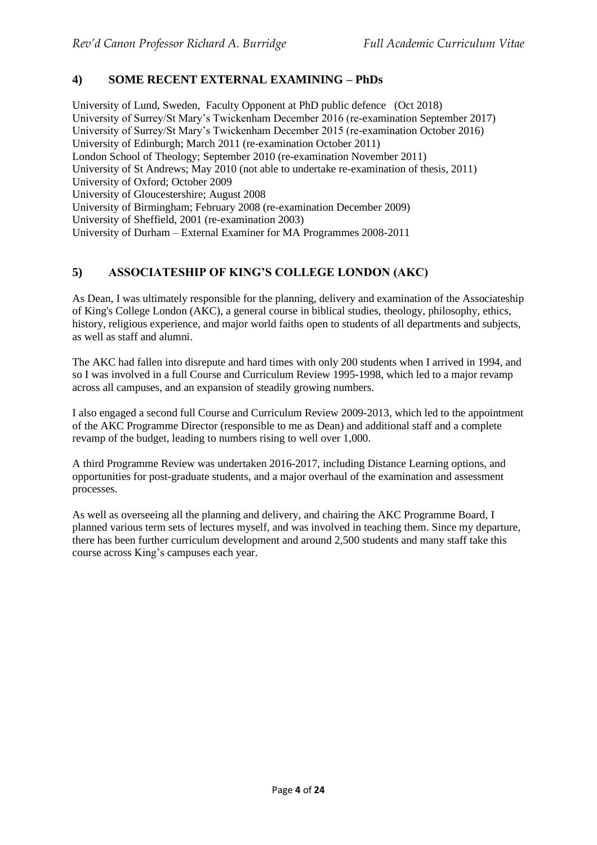## **4) SOME RECENT EXTERNAL EXAMINING – PhDs**

University of Lund, Sweden, Faculty Opponent at PhD public defence (Oct 2018) University of Surrey/St Mary's Twickenham December 2016 (re-examination September 2017) University of Surrey/St Mary's Twickenham December 2015 (re-examination October 2016) University of Edinburgh; March 2011 (re-examination October 2011) London School of Theology; September 2010 (re-examination November 2011) University of St Andrews; May 2010 (not able to undertake re-examination of thesis, 2011) University of Oxford; October 2009 University of Gloucestershire; August 2008 University of Birmingham; February 2008 (re-examination December 2009) University of Sheffield, 2001 (re-examination 2003) University of Durham – External Examiner for MA Programmes 2008-2011

## **5) ASSOCIATESHIP OF KING'S COLLEGE LONDON (AKC)**

As Dean, I was ultimately responsible for the planning, delivery and examination of the Associateship of King's College London (AKC), a general course in biblical studies, theology, philosophy, ethics, history, religious experience, and major world faiths open to students of all departments and subjects, as well as staff and alumni.

The AKC had fallen into disrepute and hard times with only 200 students when I arrived in 1994, and so I was involved in a full Course and Curriculum Review 1995-1998, which led to a major revamp across all campuses, and an expansion of steadily growing numbers.

I also engaged a second full Course and Curriculum Review 2009-2013, which led to the appointment of the AKC Programme Director (responsible to me as Dean) and additional staff and a complete revamp of the budget, leading to numbers rising to well over 1,000.

A third Programme Review was undertaken 2016-2017, including Distance Learning options, and opportunities for post-graduate students, and a major overhaul of the examination and assessment processes.

As well as overseeing all the planning and delivery, and chairing the AKC Programme Board, I planned various term sets of lectures myself, and was involved in teaching them. Since my departure, there has been further curriculum development and around 2,500 students and many staff take this course across King's campuses each year.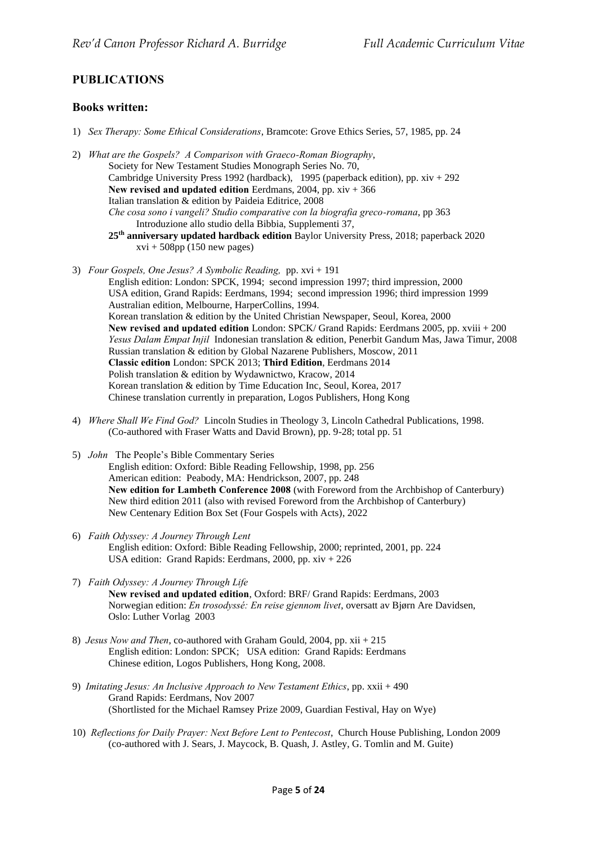## **PUBLICATIONS**

### **Books written:**

- 1) *Sex Therapy: Some Ethical Considerations*, Bramcote: Grove Ethics Series, 57, 1985, pp. 24
- 2) *What are the Gospels? A Comparison with Graeco-Roman Biography*, Society for New Testament Studies Monograph Series No. 70, Cambridge University Press 1992 (hardback), 1995 (paperback edition), pp. xiv + 292 **New revised and updated edition** Eerdmans, 2004, pp. xiv + 366 Italian translation & edition by Paideia Editrice, 2008 *Che cosa sono i vangeli? Studio comparative con la biografia greco-romana*, pp 363 Introduzione allo studio della Bibbia, Supplementi 37, **25th anniversary updated hardback edition** Baylor University Press, 2018; paperback 2020  $xvi + 508pp$  (150 new pages)
- 3) *Four Gospels, One Jesus? A Symbolic Reading,* pp. xvi + 191

English edition: London: SPCK, 1994; second impression 1997; third impression, 2000 USA edition, Grand Rapids: Eerdmans, 1994; second impression 1996; third impression 1999 Australian edition, Melbourne, HarperCollins, 1994. Korean translation & edition by the United Christian Newspaper, Seoul, Korea, 2000 **New revised and updated edition** London: SPCK/ Grand Rapids: Eerdmans 2005, pp. xviii + 200 *Yesus Dalam Empat Injil* Indonesian translation & edition, Penerbit Gandum Mas, Jawa Timur, 2008 Russian translation & edition by Global Nazarene Publishers, Moscow, 2011 **Classic edition** London: SPCK 2013; **Third Edition**, Eerdmans 2014 Polish translation & edition by Wydawnictwo, Kracow, 2014 Korean translation & edition by Time Education Inc, Seoul, Korea, 2017 Chinese translation currently in preparation, Logos Publishers, Hong Kong

- 4) *Where Shall We Find God?* Lincoln Studies in Theology 3, Lincoln Cathedral Publications, 1998. (Co-authored with Fraser Watts and David Brown), pp. 9-28; total pp. 51
- 5) *John* The People's Bible Commentary Series English edition: Oxford: Bible Reading Fellowship, 1998, pp. 256 American edition: Peabody, MA: Hendrickson, 2007, pp. 248 **New edition for Lambeth Conference 2008** (with Foreword from the Archbishop of Canterbury) New third edition 2011 (also with revised Foreword from the Archbishop of Canterbury) New Centenary Edition Box Set (Four Gospels with Acts), 2022
- 6) *Faith Odyssey: A Journey Through Lent* English edition: Oxford: Bible Reading Fellowship, 2000; reprinted, 2001, pp. 224 USA edition: Grand Rapids: Eerdmans, 2000, pp. xiv + 226
- 7) *Faith Odyssey: A Journey Through Life* **New revised and updated edition**, Oxford: BRF/ Grand Rapids: Eerdmans, 2003 Norwegian edition: *En trosodyssé: En reise gjennom livet*, oversatt av Bjørn Are Davidsen, Oslo: Luther Vorlag 2003
- 8) *Jesus Now and Then*, co-authored with Graham Gould, 2004, pp. xii + 215 English edition: London: SPCK; USA edition: Grand Rapids: Eerdmans Chinese edition, Logos Publishers, Hong Kong, 2008.
- 9) *Imitating Jesus: An Inclusive Approach to New Testament Ethics*, pp. xxii + 490 Grand Rapids: Eerdmans, Nov 2007 (Shortlisted for the Michael Ramsey Prize 2009, Guardian Festival, Hay on Wye)
- 10) *Reflections for Daily Prayer: Next Before Lent to Pentecost*, Church House Publishing, London 2009 (co-authored with J. Sears, J. Maycock, B. Quash, J. Astley, G. Tomlin and M. Guite)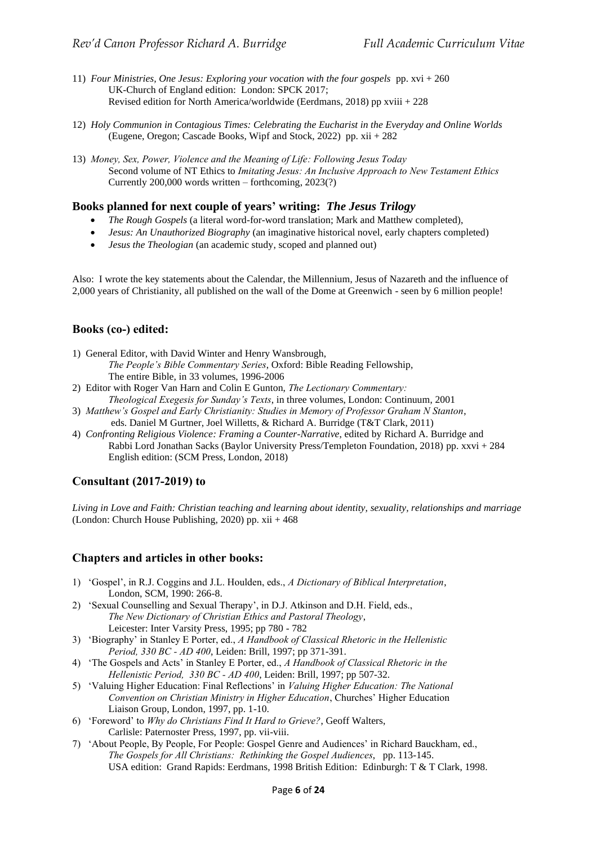- 11) *Four Ministries, One Jesus: Exploring your vocation with the four gospels* pp. xvi + 260 UK-Church of England edition: London: SPCK 2017; Revised edition for North America/worldwide (Eerdmans, 2018) pp xviii + 228
- 12) *Holy Communion in Contagious Times: Celebrating the Eucharist in the Everyday and Online Worlds* (Eugene, Oregon; Cascade Books, Wipf and Stock, 2022) pp. xii + 282
- 13) *Money, Sex, Power, Violence and the Meaning of Life: Following Jesus Today* Second volume of NT Ethics to *Imitating Jesus: An Inclusive Approach to New Testament Ethics* Currently 200,000 words written – forthcoming, 2023(?)

## **Books planned for next couple of years' writing:** *The Jesus Trilogy*

- *The Rough Gospels* (a literal word-for-word translation; Mark and Matthew completed),
- *Jesus: An Unauthorized Biography* (an imaginative historical novel, early chapters completed)
- *Jesus the Theologian* (an academic study, scoped and planned out)

Also: I wrote the key statements about the Calendar, the Millennium, Jesus of Nazareth and the influence of 2,000 years of Christianity, all published on the wall of the Dome at Greenwich - seen by 6 million people!

### **Books (co-) edited:**

- 1) General Editor, with David Winter and Henry Wansbrough,
	- *The People's Bible Commentary Series*, Oxford: Bible Reading Fellowship, The entire Bible, in 33 volumes, 1996-2006
- 2) Editor with Roger Van Harn and Colin E Gunton, *The Lectionary Commentary: Theological Exegesis for Sunday's Texts*, in three volumes, London: Continuum, 2001
- 3) *Matthew's Gospel and Early Christianity: Studies in Memory of Professor Graham N Stanton*, eds. Daniel M Gurtner, Joel Willetts, & Richard A. Burridge (T&T Clark, 2011)
- 4) *Confronting Religious Violence: Framing a Counter-Narrative*, edited by Richard A. Burridge and Rabbi Lord Jonathan Sacks (Baylor University Press/Templeton Foundation, 2018) pp. xxvi + 284 English edition: (SCM Press, London, 2018)

## **Consultant (2017-2019) to**

*Living in Love and Faith: Christian teaching and learning about identity, sexuality, relationships and marriage*  (London: Church House Publishing, 2020) pp. xii + 468

### **Chapters and articles in other books:**

- 1) 'Gospel', in R.J. Coggins and J.L. Houlden, eds., *A Dictionary of Biblical Interpretation*, London, SCM, 1990: 266-8.
- 2) 'Sexual Counselling and Sexual Therapy', in D.J. Atkinson and D.H. Field, eds., *The New Dictionary of Christian Ethics and Pastoral Theology*, Leicester: Inter Varsity Press, 1995; pp 780 - 782
- 3) 'Biography' in Stanley E Porter, ed., *A Handbook of Classical Rhetoric in the Hellenistic Period, 330 BC - AD 400*, Leiden: Brill, 1997; pp 371-391.
- 4) 'The Gospels and Acts' in Stanley E Porter, ed., *A Handbook of Classical Rhetoric in the Hellenistic Period, 330 BC - AD 400*, Leiden: Brill, 1997; pp 507-32.
- 5) 'Valuing Higher Education: Final Reflections' in *Valuing Higher Education: The National Convention on Christian Ministry in Higher Education*, Churches' Higher Education Liaison Group, London, 1997, pp. 1-10.
- 6) 'Foreword' to *Why do Christians Find It Hard to Grieve?*, Geoff Walters, Carlisle: Paternoster Press, 1997, pp. vii-viii.
- 7) 'About People, By People, For People: Gospel Genre and Audiences' in Richard Bauckham, ed., *The Gospels for All Christians: Rethinking the Gospel Audiences*, pp. 113-145. USA edition: Grand Rapids: Eerdmans, 1998 British Edition: Edinburgh: T & T Clark, 1998.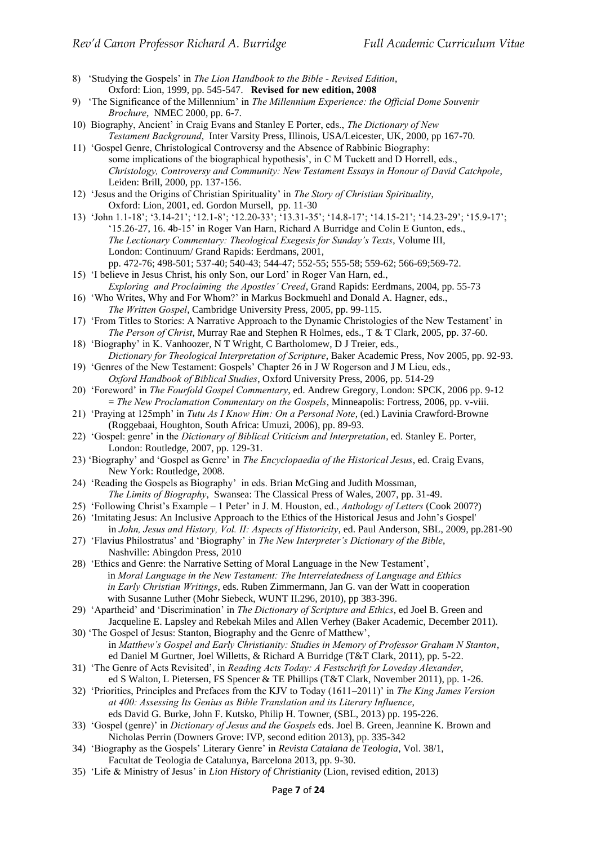- 8) 'Studying the Gospels' in *The Lion Handbook to the Bible - Revised Edition*, Oxford: Lion, 1999, pp. 545-547. **Revised for new edition, 2008**
- 9) 'The Significance of the Millennium' in *The Millennium Experience: the Official Dome Souvenir Brochure*, NMEC 2000, pp. 6-7.
- 10) Biography, Ancient' in Craig Evans and Stanley E Porter, eds., *The Dictionary of New Testament Background*, Inter Varsity Press, Illinois, USA/Leicester, UK, 2000, pp 167-70.
- 11) 'Gospel Genre, Christological Controversy and the Absence of Rabbinic Biography: some implications of the biographical hypothesis', in C M Tuckett and D Horrell, eds., *Christology, Controversy and Community: New Testament Essays in Honour of David Catchpole*, Leiden: Brill, 2000, pp. 137-156.
- 12) 'Jesus and the Origins of Christian Spirituality' in *The Story of Christian Spirituality*, Oxford: Lion, 2001, ed. Gordon Mursell, pp. 11-30
- 13) 'John 1.1-18'; '3.14-21'; '12.1-8'; '12.20-33'; '13.31-35'; '14.8-17'; '14.15-21'; '14.23-29'; '15.9-17'; '15.26-27, 16. 4b-15' in Roger Van Harn, Richard A Burridge and Colin E Gunton, eds., *The Lectionary Commentary: Theological Exegesis for Sunday's Texts*, Volume III, London: Continuum/ Grand Rapids: Eerdmans, 2001, pp. 472-76; 498-501; 537-40; 540-43; 544-47; 552-55; 555-58; 559-62; 566-69;569-72.
- 15) 'I believe in Jesus Christ, his only Son, our Lord' in Roger Van Harn, ed., *Exploring and Proclaiming the Apostles' Creed*, Grand Rapids: Eerdmans, 2004, pp. 55-73
- 16) 'Who Writes, Why and For Whom?' in Markus Bockmuehl and Donald A. Hagner, eds., *The Written Gospel*, Cambridge University Press, 2005, pp. 99-115.
- 17) 'From Titles to Stories: A Narrative Approach to the Dynamic Christologies of the New Testament' in *The Person of Christ*, Murray Rae and Stephen R Holmes, eds., T & T Clark, 2005, pp. 37-60.
- 18) 'Biography' in K. Vanhoozer, N T Wright, C Bartholomew, D J Treier, eds., *Dictionary for Theological Interpretation of Scripture*, Baker Academic Press, Nov 2005, pp. 92-93.
- 19) 'Genres of the New Testament: Gospels' Chapter 26 in J W Rogerson and J M Lieu, eds., *Oxford Handbook of Biblical Studies*, Oxford University Press, 2006, pp. 514-29
- 20) 'Foreword' in *The Fourfold Gospel Commentary*, ed. Andrew Gregory, London: SPCK, 2006 pp. 9-12 = *The New Proclamation Commentary on the Gospels*, Minneapolis: Fortress, 2006, pp. v-viii.
- 21) 'Praying at 125mph' in *Tutu As I Know Him: On a Personal Note*, (ed.) Lavinia Crawford-Browne (Roggebaai, Houghton, South Africa: Umuzi, 2006), pp. 89-93.
- 22) 'Gospel: genre' in the *Dictionary of Biblical Criticism and Interpretation*, ed. Stanley E. Porter, London: Routledge, 2007, pp. 129-31.
- 23) 'Biography' and 'Gospel as Genre' in *The Encyclopaedia of the Historical Jesus*, ed. Craig Evans, New York: Routledge, 2008.
- 24) 'Reading the Gospels as Biography' in eds. Brian McGing and Judith Mossman, *The Limits of Biography*, Swansea: The Classical Press of Wales, 2007, pp. 31-49.
- 25) 'Following Christ's Example 1 Peter' in J. M. Houston, ed., *Anthology of Letters* (Cook 2007?)
- 26) 'Imitating Jesus: An Inclusive Approach to the Ethics of the Historical Jesus and John's Gospel'
- in *John, Jesus and History, Vol. II: Aspects of Historicity*, ed. Paul Anderson, SBL, 2009, pp.281-90 27) 'Flavius Philostratus' and 'Biography' in *The New Interpreter's Dictionary of the Bible*,
- Nashville: Abingdon Press, 2010 28) 'Ethics and Genre: the Narrative Setting of Moral Language in the New Testament', in *Moral Language in the New Testament: The Interrelatedness of Language and Ethics in Early Christian Writings*, eds. Ruben Zimmermann, Jan G. van der Watt in cooperation with Susanne Luther (Mohr Siebeck, WUNT II.296, 2010), pp 383-396.
- 29) 'Apartheid' and 'Discrimination' in *The Dictionary of Scripture and Ethics*, ed Joel B. Green and Jacqueline E. Lapsley and Rebekah Miles and Allen Verhey (Baker Academic, December 2011).
- 30) 'The Gospel of Jesus: Stanton, Biography and the Genre of Matthew', in *Matthew's Gospel and Early Christianity: Studies in Memory of Professor Graham N Stanton*, ed Daniel M Gurtner, Joel Willetts, & Richard A Burridge (T&T Clark, 2011), pp. 5-22.
- 31) 'The Genre of Acts Revisited', in *Reading Acts Today: A Festschrift for Loveday Alexander*, ed S Walton, L Pietersen, FS Spencer & TE Phillips (T&T Clark, November 2011), pp. 1-26.
- 32) 'Priorities, Principles and Prefaces from the KJV to Today (1611–2011)' in *The King James Version at 400: Assessing Its Genius as Bible Translation and its Literary Influence*, eds David G. Burke, John F. Kutsko, Philip H. Towner, (SBL, 2013) pp. 195-226.
- 33) 'Gospel (genre)' in *Dictionary of Jesus and the Gospels* eds. Joel B. Green, Jeannine K. Brown and Nicholas Perrin (Downers Grove: IVP, second edition 2013), pp. 335-342
- 34) 'Biography as the Gospels' Literary Genre' in *Revista Catalana de Teologia*, Vol. 38/1, Facultat de Teologia de Catalunya, Barcelona 2013, pp. 9-30.
- 35) 'Life & Ministry of Jesus' in *Lion History of Christianity* (Lion, revised edition, 2013)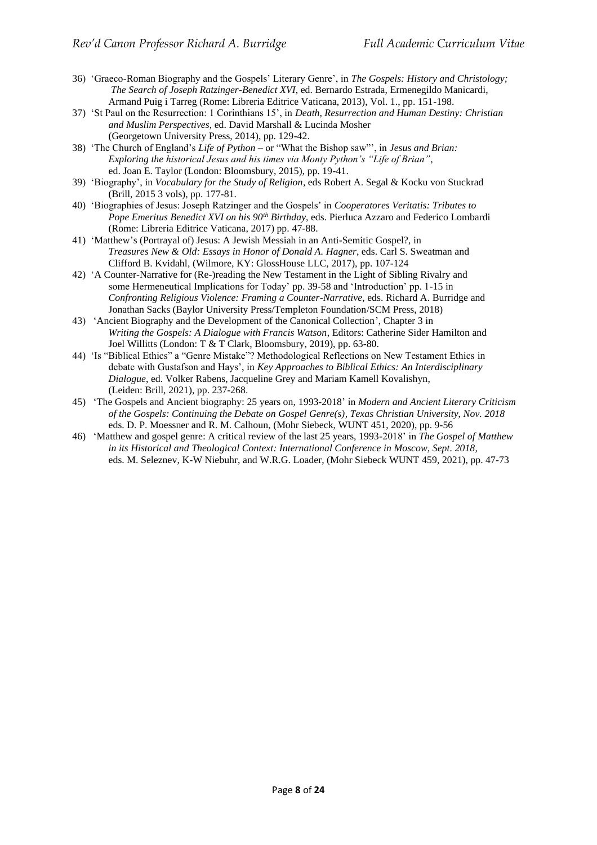- 36) 'Graeco-Roman Biography and the Gospels' Literary Genre', in *The Gospels: History and Christology; The Search of Joseph Ratzinger-Benedict XVI*, ed. Bernardo Estrada, Ermenegildo Manicardi, Armand Puig i Tarreg (Rome: Libreria Editrice Vaticana, 2013), Vol. 1., pp. 151-198.
- 37) 'St Paul on the Resurrection: 1 Corinthians 15', in *Death, Resurrection and Human Destiny: Christian and Muslim Perspectives*, ed. David Marshall & Lucinda Mosher (Georgetown University Press, 2014), pp. 129-42.
- 38) 'The Church of England's *Life of Python* or "What the Bishop saw"', in *Jesus and Brian: Exploring the historical Jesus and his times via Monty Python's "Life of Brian"*, ed. Joan E. Taylor (London: Bloomsbury, 2015), pp. 19-41.
- 39) 'Biography', in *Vocabulary for the Study of Religion*, eds Robert A. Segal & Kocku von Stuckrad (Brill, 2015 3 vols), pp. 177-81.
- 40) 'Biographies of Jesus: Joseph Ratzinger and the Gospels' in *Cooperatores Veritatis: Tributes to Pope Emeritus Benedict XVI on his 90th Birthday*, eds. Pierluca Azzaro and Federico Lombardi (Rome: Libreria Editrice Vaticana, 2017) pp. 47-88.
- 41) 'Matthew's (Portrayal of) Jesus: A Jewish Messiah in an Anti-Semitic Gospel?, in *Treasures New & Old: Essays in Honor of Donald A. Hagner*, eds. Carl S. Sweatman and Clifford B. Kvidahl, (Wilmore, KY: GlossHouse LLC, 2017), pp. 107-124
- 42) 'A Counter-Narrative for (Re-)reading the New Testament in the Light of Sibling Rivalry and some Hermeneutical Implications for Today' pp. 39-58 and 'Introduction' pp. 1-15 in *Confronting Religious Violence: Framing a Counter-Narrative*, eds. Richard A. Burridge and Jonathan Sacks (Baylor University Press/Templeton Foundation/SCM Press, 2018)
- 43) 'Ancient Biography and the Development of the Canonical Collection', Chapter 3 in *Writing the Gospels: A Dialogue with Francis Watson*, Editors: [Catherine](https://www.bloomsbury.com/uk/author/catherine-sider-hamilton) Sider Hamilton and Joel [Willitts](https://www.bloomsbury.com/uk/author/joel-willitts) (London: T & T Clark, Bloomsbury, 2019), pp. 63-80.
- 44) 'Is "Biblical Ethics" a "Genre Mistake"? Methodological Reflections on New Testament Ethics in debate with Gustafson and Hays', in *Key Approaches to Biblical Ethics: An Interdisciplinary Dialogue*, ed. Volker Rabens, Jacqueline Grey and Mariam Kamell Kovalishyn, (Leiden: Brill, 2021), pp. 237-268.
- 45) 'The Gospels and Ancient biography: 25 years on, 1993-2018' in *Modern and Ancient Literary Criticism of the Gospels: Continuing the Debate on Gospel Genre(s), Texas Christian University*, *Nov. 2018* eds. D. P. Moessner and R. M. Calhoun, (Mohr Siebeck, WUNT 451, 2020), pp. 9-56
- 46) 'Matthew and gospel genre: A critical review of the last 25 years, 1993-2018' in *The Gospel of Matthew in its Historical and Theological Context: International Conference in Moscow, Sept. 2018,*  eds. M. Seleznev, K-W Niebuhr, and W.R.G. Loader, (Mohr Siebeck WUNT 459, 2021), pp. 47-73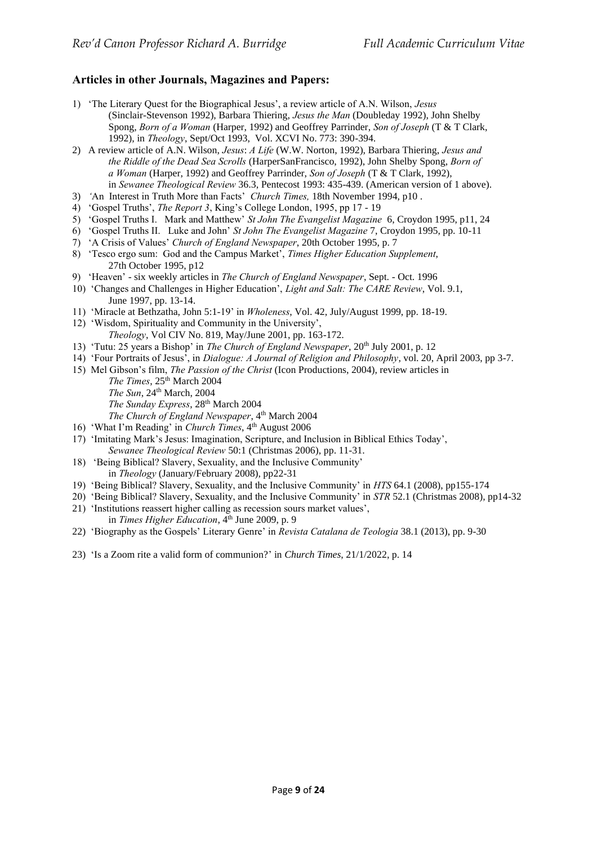## **Articles in other Journals, Magazines and Papers:**

- 1) 'The Literary Quest for the Biographical Jesus', a review article of A.N. Wilson, *Jesus*  (Sinclair-Stevenson 1992), Barbara Thiering, *Jesus the Man* (Doubleday 1992), John Shelby Spong, *Born of a Woman* (Harper, 1992) and Geoffrey Parrinder, *Son of Joseph* (T & T Clark, 1992), in *Theology*, Sept/Oct 1993, Vol. XCVI No. 773: 390-394.
- 2) A review article of A.N. Wilson, *Jesus*: *A Life* (W.W. Norton, 1992), Barbara Thiering, *Jesus and the Riddle of the Dead Sea Scrolls* (HarperSanFrancisco, 1992), John Shelby Spong, *Born of a Woman* (Harper, 1992) and Geoffrey Parrinder, *Son of Joseph* (T & T Clark, 1992), in *Sewanee Theological Review* 36.3, Pentecost 1993: 435-439. (American version of 1 above).
- 3) *'*An Interest in Truth More than Facts' *Church Times,* 18th November 1994, p10 .
- 4) 'Gospel Truths', *The Report 3*, King's College London, 1995, pp 17 19
- 5) 'Gospel Truths I. Mark and Matthew' *St John The Evangelist Magazine* 6, Croydon 1995, p11, 24
- 6) 'Gospel Truths II. Luke and John' *St John The Evangelist Magazine* 7, Croydon 1995, pp. 10-11
- 7) 'A Crisis of Values' *Church of England Newspaper*, 20th October 1995, p. 7
- 8) 'Tesco ergo sum: God and the Campus Market', *Times Higher Education Supplement*, 27th October 1995, p12
- 9) 'Heaven' six weekly articles in *The Church of England Newspaper*, Sept. Oct. 1996
- 10) 'Changes and Challenges in Higher Education', *Light and Salt: The CARE Review*, Vol. 9.1, June 1997, pp. 13-14.
- 11) 'Miracle at Bethzatha, John 5:1-19' in *Wholeness*, Vol. 42, July/August 1999, pp. 18-19.
- 12) 'Wisdom, Spirituality and Community in the University', *Theology*, Vol CIV No. 819, May/June 2001, pp. 163-172.
- 13) 'Tutu: 25 years a Bishop' in *The Church of England Newspaper*, 20<sup>th</sup> July 2001, p. 12
- 14) 'Four Portraits of Jesus', in *Dialogue: A Journal of Religion and Philosophy*, vol. 20, April 2003, pp 3-7.
- 15) Mel Gibson's film, *The Passion of the Christ* (Icon Productions, 2004), review articles in The Times, 25<sup>th</sup> March 2004 *The Sun*, 24th March, 2004
	- *The Sunday Express*, 28th March 2004
	- The Church of England Newspaper, 4<sup>th</sup> March 2004
- 16) 'What I'm Reading' in *Church Times*, 4<sup>th</sup> August 2006
- 17) 'Imitating Mark's Jesus: Imagination, Scripture, and Inclusion in Biblical Ethics Today', *Sewanee Theological Review* 50:1 (Christmas 2006), pp. 11-31.
- 18) 'Being Biblical? Slavery, Sexuality, and the Inclusive Community' in *Theology* (January/February 2008), pp22-31
- 19) 'Being Biblical? Slavery, Sexuality, and the Inclusive Community' in *HTS* 64.1 (2008), pp155-174
- 20) 'Being Biblical? Slavery, Sexuality, and the Inclusive Community' in *STR* 52.1 (Christmas 2008), pp14-32
- 21) 'Institutions reassert higher calling as recession sours market values', in *Times Higher Education*, 4<sup>th</sup> June 2009, p. 9
- 22) 'Biography as the Gospels' Literary Genre' in *Revista Catalana de Teologia* 38.1 (2013), pp. 9-30
- 23) ['Is a Zoom rite a valid form of communion?'](https://richardburridge.org/wp-content/uploads/2022/02/church-times-comment.pdf) in *Church Times*, 21/1/2022, p. 14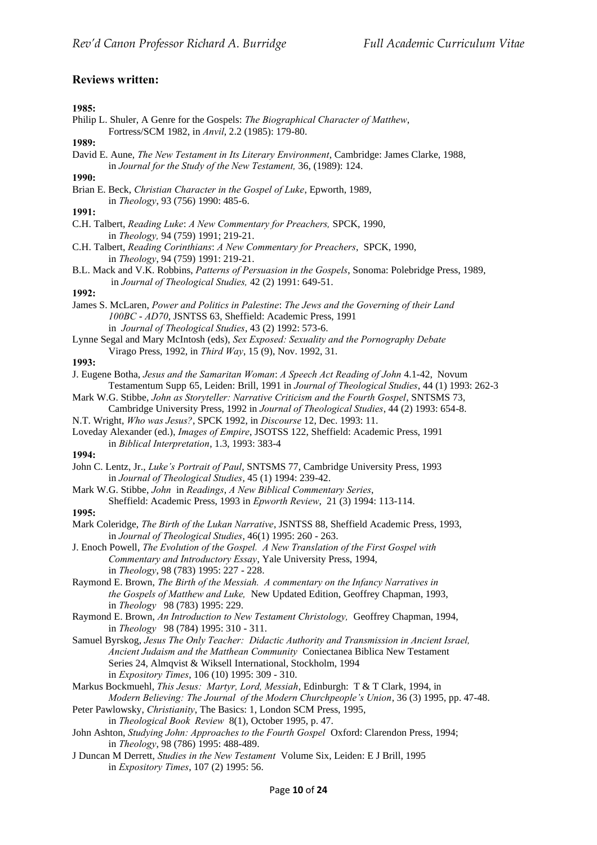## **Reviews written:**

### **1985:**

- Philip L. Shuler, A Genre for the Gospels: *The Biographical Character of Matthew*, Fortress/SCM 1982, in *Anvil*, 2.2 (1985): 179-80.
- **1989:**
- David E. Aune, *The New Testament in Its Literary Environment*, Cambridge: James Clarke, 1988, in *Journal for the Study of the New Testament,* 36, (1989): 124.

**1990:**

Brian E. Beck, *Christian Character in the Gospel of Luke*, Epworth, 1989, in *Theology*, 93 (756) 1990: 485-6.

### **1991:**

- C.H. Talbert, *Reading Luke*: *A New Commentary for Preachers,* SPCK, 1990, in *Theology,* 94 (759) 1991; 219-21.
- C.H. Talbert, *Reading Corinthians*: *A New Commentary for Preachers*, SPCK, 1990, in *Theology*, 94 (759) 1991: 219-21.
- B.L. Mack and V.K. Robbins, *Patterns of Persuasion in the Gospels*, Sonoma: Polebridge Press, 1989, in *Journal of Theological Studies,* 42 (2) 1991: 649-51.

#### **1992:**

- James S. McLaren, *Power and Politics in Palestine*: *The Jews and the Governing of their Land 100BC* - *AD70*, JSNTSS 63, Sheffield: Academic Press, 1991 in *Journal of Theological Studies*, 43 (2) 1992: 573-6.
- Lynne Segal and Mary McIntosh (eds), *Sex Exposed: Sexuality and the Pornography Debate*  Virago Press, 1992, in *Third Way*, 15 (9), Nov. 1992, 31.

#### **1993:**

- J. Eugene Botha, *Jesus and the Samaritan Woman*: *A Speech Act Reading of John* 4.1-42, Novum Testamentum Supp 65, Leiden: Brill, 1991 in *Journal of Theological Studies*, 44 (1) 1993: 262-3
- Mark W.G. Stibbe, *John as Storyteller: Narrative Criticism and the Fourth Gospel*, SNTSMS 73, Cambridge University Press, 1992 in *Journal of Theological Studies*, 44 (2) 1993: 654-8.
- N.T. Wright, *Who was Jesus?*, SPCK 1992, in *Discourse* 12, Dec. 1993: 11.
- Loveday Alexander (ed.), *Images of Empire*, JSOTSS 122, Sheffield: Academic Press, 1991 in *Biblical Interpretation*, 1.3, 1993: 383-4

#### **1994:**

- John C. Lentz, Jr., *Luke's Portrait of Paul*, SNTSMS 77, Cambridge University Press, 1993 in *Journal of Theological Studies*, 45 (1) 1994: 239-42.
- Mark W.G. Stibbe, *John* in *Readings*, *A New Biblical Commentary Series*, Sheffield: Academic Press, 1993 in *Epworth Review*, 21 (3) 1994: 113-114.

#### **1995:**

- Mark Coleridge, *The Birth of the Lukan Narrative*, JSNTSS 88, Sheffield Academic Press, 1993, in *Journal of Theological Studies*, 46(1) 1995: 260 - 263.
- J. Enoch Powell, *The Evolution of the Gospel. A New Translation of the First Gospel with Commentary and Introductory Essay*, Yale University Press, 1994, in *Theology*, 98 (783) 1995: 227 - 228.
- Raymond E. Brown, *The Birth of the Messiah. A commentary on the Infancy Narratives in the Gospels of Matthew and Luke,* New Updated Edition, Geoffrey Chapman, 1993, in *Theology* 98 (783) 1995: 229.
- Raymond E. Brown, *An Introduction to New Testament Christology,* Geoffrey Chapman, 1994, in *Theology* 98 (784) 1995: 310 - 311.
- Samuel Byrskog, *Jesus The Only Teacher: Didactic Authority and Transmission in Ancient Israel, Ancient Judaism and the Matthean Community* Coniectanea Biblica New Testament Series 24, Almqvist & Wiksell International, Stockholm, 1994 in *Expository Times*, 106 (10) 1995: 309 - 310.
- Markus Bockmuehl, *This Jesus: Martyr, Lord, Messiah*, Edinburgh: T & T Clark, 1994, in *Modern Believing: The Journal of the Modern Churchpeople's Union*, 36 (3) 1995, pp. 47-48.
- Peter Pawlowsky, *Christianity*, The Basics: 1, London SCM Press, 1995, in *Theological Book Review* 8(1), October 1995, p. 47.
- John Ashton, *Studying John: Approaches to the Fourth Gospel* Oxford: Clarendon Press, 1994; in *Theology*, 98 (786) 1995: 488-489.
- J Duncan M Derrett, *Studies in the New Testament* Volume Six, Leiden: E J Brill, 1995 in *Expository Times*, 107 (2) 1995: 56.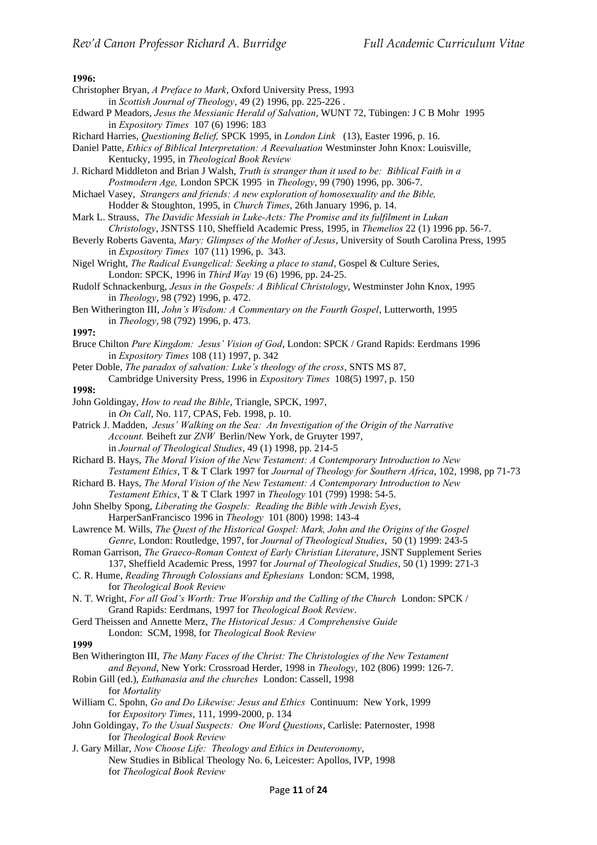#### **1996:**

- Christopher Bryan, *A Preface to Mark*, Oxford University Press, 1993
- in *Scottish Journal of Theology*, 49 (2) 1996, pp. 225-226 .
- Edward P Meadors, *Jesus the Messianic Herald of Salvation*, WUNT 72, Tübingen: J C B Mohr 1995 in *Expository Times* 107 (6) 1996: 183
- Richard Harries, *Questioning Belief,* SPCK 1995, in *London Link* (13), Easter 1996, p. 16.
- Daniel Patte, *Ethics of Biblical Interpretation: A Reevaluation* Westminster John Knox: Louisville, Kentucky, 1995, in *Theological Book Review*
- J. Richard Middleton and Brian J Walsh, *Truth is stranger than it used to be: Biblical Faith in a Postmodern Age,* London SPCK 1995 in *Theology*, 99 (790) 1996, pp. 306-7.
- Michael Vasey, *Strangers and friends: A new exploration of homosexuality and the Bible,*  Hodder & Stoughton, 1995, in *Church Times*, 26th January 1996, p. 14.
- Mark L. Strauss, *The Davidic Messiah in Luke-Acts: The Promise and its fulfilment in Lukan Christology*, JSNTSS 110, Sheffield Academic Press, 1995, in *Themelios* 22 (1) 1996 pp. 56-7.
- Beverly Roberts Gaventa, *Mary: Glimpses of the Mother of Jesus*, University of South Carolina Press, 1995 in *Expository Times* 107 (11) 1996, p. 343.
- Nigel Wright, *The Radical Evangelical: Seeking a place to stand*, Gospel & Culture Series, London: SPCK, 1996 in *Third Way* 19 (6) 1996, pp. 24-25.
- Rudolf Schnackenburg, *Jesus in the Gospels: A Biblical Christology*, Westminster John Knox, 1995 in *Theology*, 98 (792) 1996, p. 472.
- Ben Witherington III, *John's Wisdom: A Commentary on the Fourth Gospel*, Lutterworth, 1995 in *Theology*, 98 (792) 1996, p. 473.

**1997:**

- Bruce Chilton *Pure Kingdom: Jesus' Vision of God*, London: SPCK / Grand Rapids: Eerdmans 1996 in *Expository Times* 108 (11) 1997, p. 342
- Peter Doble, *The paradox of salvation: Luke's theology of the cross*, SNTS MS 87, Cambridge University Press, 1996 in *Expository Times* 108(5) 1997, p. 150

**1998:**

- John Goldingay, *How to read the Bible*, Triangle, SPCK, 1997, in *On Call*, No. 117, CPAS, Feb. 1998, p. 10.
- Patrick J. Madden, *Jesus' Walking on the Sea: An Investigation of the Origin of the Narrative Account.* Beiheft zur *ZNW* Berlin/New York, de Gruyter 1997, in *Journal of Theological Studies*, 49 (1) 1998, pp. 214-5
- Richard B. Hays, *The Moral Vision of the New Testament: A Contemporary Introduction to New Testament Ethics*, T & T Clark 1997 for *Journal of Theology for Southern Africa*, 102, 1998, pp 71-73
- Richard B. Hays, *The Moral Vision of the New Testament: A Contemporary Introduction to New Testament Ethics*, T & T Clark 1997 in *Theology* 101 (799) 1998: 54-5.
- John Shelby Spong, *Liberating the Gospels: Reading the Bible with Jewish Eyes*, HarperSanFrancisco 1996 in *Theology* 101 (800) 1998: 143-4
- Lawrence M. Wills, *The Quest of the Historical Gospel: Mark, John and the Origins of the Gospel Genre*, London: Routledge, 1997, for *Journal of Theological Studies*, 50 (1) 1999: 243-5
- Roman Garrison, *The Graeco-Roman Context of Early Christian Literature*, JSNT Supplement Series 137, Sheffield Academic Press, 1997 for *Journal of Theological Studies*, 50 (1) 1999: 271-3
- C. R. Hume, *Reading Through Colossians and Ephesians* London: SCM, 1998, for *Theological Book Review*
- N. T. Wright, *For all God's Worth: True Worship and the Calling of the Church* London: SPCK / Grand Rapids: Eerdmans, 1997 for *Theological Book Review*.
- Gerd Theissen and Annette Merz, *The Historical Jesus: A Comprehensive Guide*

London: SCM, 1998, for *Theological Book Review*

## **1999**

- Ben Witherington III, *The Many Faces of the Christ: The Christologies of the New Testament and Beyond*, New York: Crossroad Herder, 1998 in *Theology*, 102 (806) 1999: 126-7.
- Robin Gill (ed.), *Euthanasia and the churches* London: Cassell, 1998 for *Mortality*
- William C. Spohn, *Go and Do Likewise: Jesus and Ethics* Continuum: New York, 1999 for *Expository Times*, 111, 1999-2000, p. 134
- John Goldingay, *To the Usual Suspects: One Word Questions*, Carlisle: Paternoster, 1998 for *Theological Book Review*
- J. Gary Millar, *Now Choose Life: Theology and Ethics in Deuteronomy*, New Studies in Biblical Theology No. 6, Leicester: Apollos, IVP, 1998 for *Theological Book Review*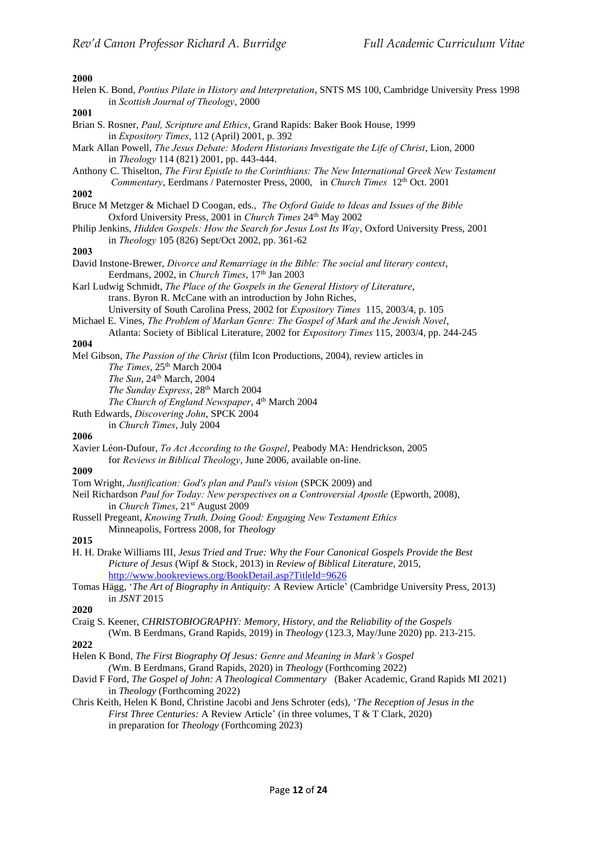#### **2000**

Helen K. Bond, *Pontius Pilate in History and Interpretation*, SNTS MS 100, Cambridge University Press 1998 in *Scottish Journal of Theology*, 2000

**2001**

- Brian S. Rosner, *Paul, Scripture and Ethics*, Grand Rapids: Baker Book House, 1999 in *Expository Times*, 112 (April) 2001, p. 392
- Mark Allan Powell, *The Jesus Debate: Modern Historians Investigate the Life of Christ*, Lion, 2000 in *Theology* 114 (821) 2001, pp. 443-444.
- Anthony C. Thiselton, *The First Epistle to the Corinthians: The New International Greek New Testament Commentary*, Eerdmans / Paternoster Press, 2000, in *Church Times* 12<sup>th</sup> Oct. 2001

### **2002**

- Bruce M Metzger & Michael D Coogan, eds., *The Oxford Guide to Ideas and Issues of the Bible* Oxford University Press, 2001 in *Church Times* 24<sup>th</sup> May 2002
- Philip Jenkins, *Hidden Gospels: How the Search for Jesus Lost Its Way*, Oxford University Press, 2001 in *Theology* 105 (826) Sept/Oct 2002, pp. 361-62

### **2003**

- David Instone-Brewer, *Divorce and Remarriage in the Bible: The social and literary context*, Eerdmans, 2002, in *Church Times*, 17<sup>th</sup> Jan 2003
- Karl Ludwig Schmidt, *The Place of the Gospels in the General History of Literature*, trans. Byron R. McCane with an introduction by John Riches, University of South Carolina Press, 2002 for *Expository Times* 115, 2003/4, p. 105
- Michael E. Vines, *The Problem of Markan Genre: The Gospel of Mark and the Jewish Novel*, Atlanta: Society of Biblical Literature, 2002 for *Expository Times* 115, 2003/4, pp. 244-245

#### **2004**

Mel Gibson, *The Passion of the Christ* (film Icon Productions, 2004), review articles in *The Times*, 25th March 2004 *The Sun*, 24th March, 2004

*The Sunday Express*, 28th March 2004

The Church of England Newspaper, 4<sup>th</sup> March 2004

Ruth Edwards, *Discovering John*, SPCK 2004

in *Church Times*, July 2004

#### **2006**

Xavier Léon-Dufour, *To Act According to the Gospel*, Peabody MA: Hendrickson, 2005 for *Reviews in Biblical Theology*, June 2006, available on-line.

### **2009**

- Tom Wright, *Justification: God's plan and Paul's vision* (SPCK 2009) and
- Neil Richardson *Paul for Today: New perspectives on a Controversial Apostle* (Epworth, 2008), in *Church Times*, 21<sup>st</sup> August 2009
- Russell Pregeant, *Knowing Truth, Doing Good: Engaging New Testament Ethics* Minneapolis, Fortress 2008, for *Theology*

#### **2015**

- H. H. Drake Williams III, *Jesus Tried and True: Why the Four Canonical Gospels Provide the Best Picture of Jesus* (Wipf & Stock, 2013) in *Review of Biblical Literature*, 2015, <http://www.bookreviews.org/BookDetail.asp?TitleId=9626>
- Tomas Hägg, '*The Art of Biography in Antiquity:* A Review Article' (Cambridge University Press, 2013) in *JSNT* 2015

### **2020**

- Craig S. Keener, *CHRISTOBIOGRAPHY: Memory, History, and the Reliability of the Gospels*
- (Wm. B Eerdmans, Grand Rapids, 2019) in *Theology* (123.3, May/June 2020) pp. 213-215.
- **2022**
- Helen K Bond, *The First Biography Of Jesus: Genre and Meaning in Mark's Gospel (*Wm. B Eerdmans, Grand Rapids, 2020) in *Theology* (Forthcoming 2022)
- David F Ford, *The Gospel of John: A Theological Commentary* (Baker Academic, Grand Rapids MI 2021) in *Theology* (Forthcoming 2022)
- Chris Keith, Helen K Bond, Christine Jacobi and Jens Schroter (eds), '*The Reception of Jesus in the First Three Centuries:* A Review Article' (in three volumes, T & T Clark, 2020) in preparation for *Theology* (Forthcoming 2023)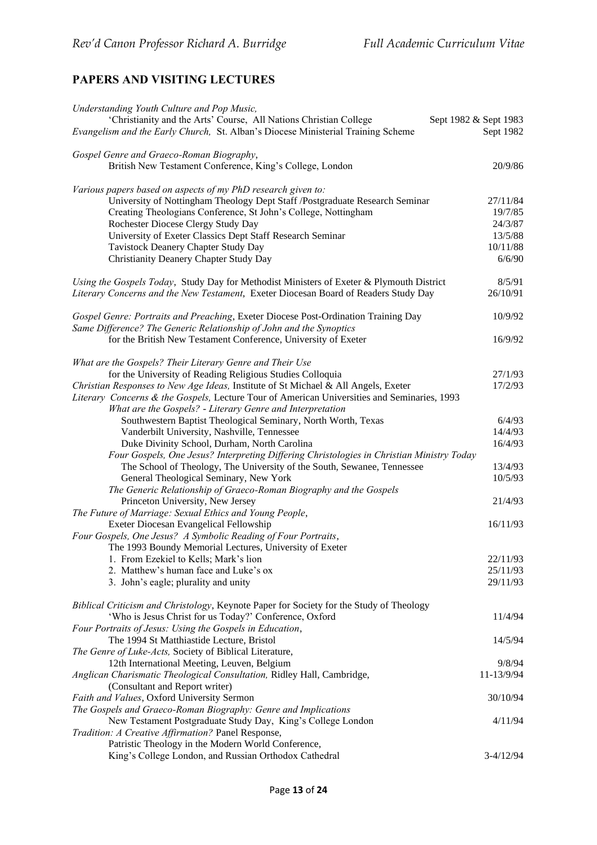# **PAPERS AND VISITING LECTURES**

| Understanding Youth Culture and Pop Music,                                                                   |                    |
|--------------------------------------------------------------------------------------------------------------|--------------------|
| 'Christianity and the Arts' Course, All Nations Christian College<br>Sept 1982 & Sept 1983                   |                    |
| Evangelism and the Early Church, St. Alban's Diocese Ministerial Training Scheme                             | Sept 1982          |
| Gospel Genre and Graeco-Roman Biography,                                                                     |                    |
| British New Testament Conference, King's College, London                                                     | 20/9/86            |
| Various papers based on aspects of my PhD research given to:                                                 |                    |
| University of Nottingham Theology Dept Staff /Postgraduate Research Seminar                                  | 27/11/84           |
| Creating Theologians Conference, St John's College, Nottingham                                               | 19/7/85            |
| Rochester Diocese Clergy Study Day                                                                           | 24/3/87            |
| University of Exeter Classics Dept Staff Research Seminar                                                    | 13/5/88            |
| Tavistock Deanery Chapter Study Day                                                                          | 10/11/88           |
| Christianity Deanery Chapter Study Day                                                                       | 6/6/90             |
| Using the Gospels Today, Study Day for Methodist Ministers of Exeter & Plymouth District                     | 8/5/91             |
| Literary Concerns and the New Testament, Exeter Diocesan Board of Readers Study Day                          | 26/10/91           |
| Gospel Genre: Portraits and Preaching, Exeter Diocese Post-Ordination Training Day                           | 10/9/92            |
| Same Difference? The Generic Relationship of John and the Synoptics                                          |                    |
| for the British New Testament Conference, University of Exeter                                               | 16/9/92            |
| What are the Gospels? Their Literary Genre and Their Use                                                     |                    |
| for the University of Reading Religious Studies Colloquia                                                    | 27/1/93            |
| Christian Responses to New Age Ideas, Institute of St Michael & All Angels, Exeter                           | 17/2/93            |
| Literary Concerns & the Gospels, Lecture Tour of American Universities and Seminaries, 1993                  |                    |
| What are the Gospels? - Literary Genre and Interpretation                                                    |                    |
| Southwestern Baptist Theological Seminary, North Worth, Texas                                                | 6/4/93             |
| Vanderbilt University, Nashville, Tennessee                                                                  | 14/4/93            |
| Duke Divinity School, Durham, North Carolina                                                                 | 16/4/93            |
| Four Gospels, One Jesus? Interpreting Differing Christologies in Christian Ministry Today                    |                    |
| The School of Theology, The University of the South, Sewanee, Tennessee                                      | 13/4/93<br>10/5/93 |
| General Theological Seminary, New York<br>The Generic Relationship of Graeco-Roman Biography and the Gospels |                    |
| Princeton University, New Jersey                                                                             | 21/4/93            |
| The Future of Marriage: Sexual Ethics and Young People,                                                      |                    |
| Exeter Diocesan Evangelical Fellowship                                                                       | 16/11/93           |
| Four Gospels, One Jesus? A Symbolic Reading of Four Portraits,                                               |                    |
| The 1993 Boundy Memorial Lectures, University of Exeter                                                      |                    |
| 1. From Ezekiel to Kells; Mark's lion                                                                        | 22/11/93           |
| 2. Matthew's human face and Luke's ox                                                                        | 25/11/93           |
| 3. John's eagle; plurality and unity                                                                         | 29/11/93           |
| Biblical Criticism and Christology, Keynote Paper for Society for the Study of Theology                      |                    |
| 'Who is Jesus Christ for us Today?' Conference, Oxford                                                       | 11/4/94            |
| Four Portraits of Jesus: Using the Gospels in Education,                                                     |                    |
| The 1994 St Matthiastide Lecture, Bristol                                                                    | 14/5/94            |
| The Genre of Luke-Acts, Society of Biblical Literature,                                                      |                    |
| 12th International Meeting, Leuven, Belgium                                                                  | 9/8/94             |
| Anglican Charismatic Theological Consultation, Ridley Hall, Cambridge,<br>(Consultant and Report writer)     | 11-13/9/94         |
| Faith and Values, Oxford University Sermon                                                                   | 30/10/94           |
| The Gospels and Graeco-Roman Biography: Genre and Implications                                               |                    |
| New Testament Postgraduate Study Day, King's College London                                                  | 4/11/94            |
| Tradition: A Creative Affirmation? Panel Response,                                                           |                    |
| Patristic Theology in the Modern World Conference,                                                           |                    |
| King's College London, and Russian Orthodox Cathedral                                                        | $3-4/12/94$        |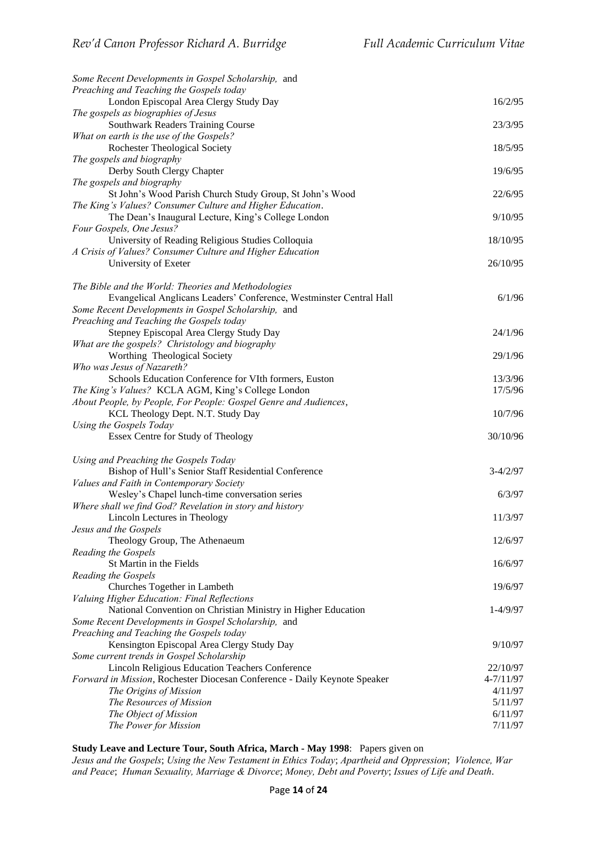| Some Recent Developments in Gospel Scholarship, and                       |               |
|---------------------------------------------------------------------------|---------------|
| Preaching and Teaching the Gospels today                                  |               |
| London Episcopal Area Clergy Study Day                                    | 16/2/95       |
| The gospels as biographies of Jesus                                       |               |
| Southwark Readers Training Course                                         | 23/3/95       |
| What on earth is the use of the Gospels?                                  |               |
| <b>Rochester Theological Society</b>                                      | 18/5/95       |
| The gospels and biography                                                 |               |
| Derby South Clergy Chapter                                                | 19/6/95       |
| The gospels and biography                                                 |               |
| St John's Wood Parish Church Study Group, St John's Wood                  | 22/6/95       |
| The King's Values? Consumer Culture and Higher Education.                 |               |
| The Dean's Inaugural Lecture, King's College London                       | 9/10/95       |
| Four Gospels, One Jesus?                                                  |               |
| University of Reading Religious Studies Colloquia                         | 18/10/95      |
| A Crisis of Values? Consumer Culture and Higher Education                 |               |
| University of Exeter                                                      | 26/10/95      |
|                                                                           |               |
| The Bible and the World: Theories and Methodologies                       |               |
| Evangelical Anglicans Leaders' Conference, Westminster Central Hall       | 6/1/96        |
| Some Recent Developments in Gospel Scholarship, and                       |               |
| Preaching and Teaching the Gospels today                                  |               |
| Stepney Episcopal Area Clergy Study Day                                   | 24/1/96       |
| What are the gospels? Christology and biography                           |               |
| Worthing Theological Society                                              | 29/1/96       |
| Who was Jesus of Nazareth?                                                |               |
| Schools Education Conference for VIth formers, Euston                     | 13/3/96       |
| The King's Values? KCLA AGM, King's College London                        | 17/5/96       |
| About People, by People, For People: Gospel Genre and Audiences,          |               |
| KCL Theology Dept. N.T. Study Day                                         | 10/7/96       |
| Using the Gospels Today                                                   |               |
| Essex Centre for Study of Theology                                        | 30/10/96      |
|                                                                           |               |
| Using and Preaching the Gospels Today                                     |               |
| Bishop of Hull's Senior Staff Residential Conference                      | $3-4/2/97$    |
| Values and Faith in Contemporary Society                                  |               |
| Wesley's Chapel lunch-time conversation series                            | 6/3/97        |
| Where shall we find God? Revelation in story and history                  |               |
| Lincoln Lectures in Theology                                              | 11/3/97       |
| Jesus and the Gospels                                                     |               |
| Theology Group, The Athenaeum                                             | 12/6/97       |
| Reading the Gospels                                                       |               |
| St Martin in the Fields                                                   | 16/6/97       |
| Reading the Gospels                                                       |               |
| Churches Together in Lambeth                                              | 19/6/97       |
| Valuing Higher Education: Final Reflections                               |               |
| National Convention on Christian Ministry in Higher Education             | $1 - 4/9/97$  |
| Some Recent Developments in Gospel Scholarship, and                       |               |
| Preaching and Teaching the Gospels today                                  |               |
| Kensington Episcopal Area Clergy Study Day                                | 9/10/97       |
| Some current trends in Gospel Scholarship                                 |               |
| Lincoln Religious Education Teachers Conference                           | 22/10/97      |
| Forward in Mission, Rochester Diocesan Conference - Daily Keynote Speaker | $4 - 7/11/97$ |
| The Origins of Mission                                                    | 4/11/97       |
| The Resources of Mission                                                  | 5/11/97       |
| The Object of Mission                                                     | 6/11/97       |
| The Power for Mission                                                     | 7/11/97       |
|                                                                           |               |

**Study Leave and Lecture Tour, South Africa, March - May 1998**: Papers given on

*Jesus and the Gospels*; *Using the New Testament in Ethics Today*; *Apartheid and Oppression*; *Violence, War and Peace*; *Human Sexuality, Marriage & Divorce*; *Money, Debt and Poverty*; *Issues of Life and Death*.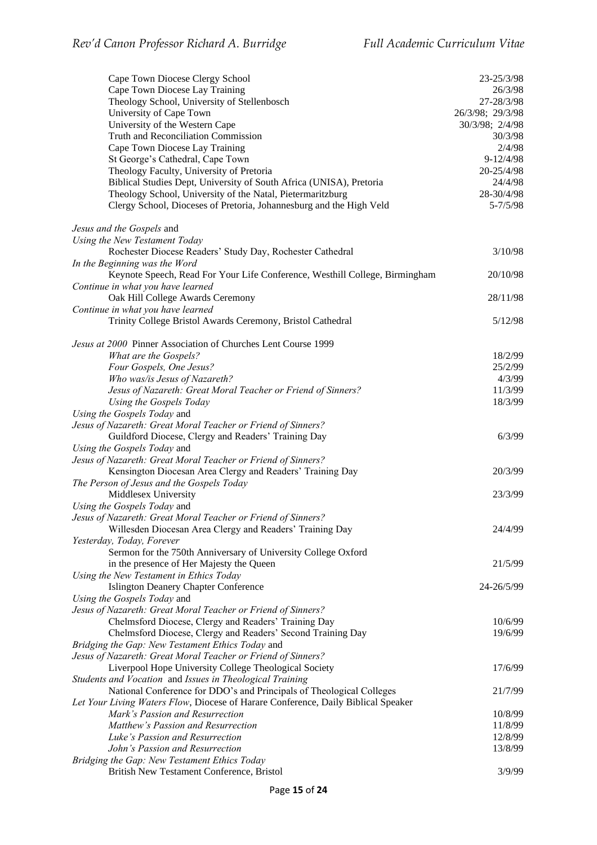| Cape Town Diocese Clergy School<br>Cape Town Diocese Lay Training<br>Theology School, University of Stellenbosch | 23-25/3/98<br>26/3/98<br>27-28/3/98 |
|------------------------------------------------------------------------------------------------------------------|-------------------------------------|
| University of Cape Town                                                                                          | 26/3/98; 29/3/98                    |
| University of the Western Cape                                                                                   | 30/3/98; 2/4/98                     |
| Truth and Reconciliation Commission                                                                              | 30/3/98                             |
| Cape Town Diocese Lay Training                                                                                   | 2/4/98                              |
| St George's Cathedral, Cape Town                                                                                 | $9 - 12/4/98$<br>20-25/4/98         |
| Theology Faculty, University of Pretoria<br>Biblical Studies Dept, University of South Africa (UNISA), Pretoria  | 24/4/98                             |
| Theology School, University of the Natal, Pietermaritzburg                                                       | 28-30/4/98                          |
| Clergy School, Dioceses of Pretoria, Johannesburg and the High Veld                                              | $5 - \frac{7}{5}$ /98               |
| Jesus and the Gospels and                                                                                        |                                     |
| Using the New Testament Today                                                                                    |                                     |
| Rochester Diocese Readers' Study Day, Rochester Cathedral                                                        | 3/10/98                             |
| In the Beginning was the Word                                                                                    | 20/10/98                            |
| Keynote Speech, Read For Your Life Conference, Westhill College, Birmingham<br>Continue in what you have learned |                                     |
| Oak Hill College Awards Ceremony                                                                                 | 28/11/98                            |
| Continue in what you have learned                                                                                |                                     |
| Trinity College Bristol Awards Ceremony, Bristol Cathedral                                                       | 5/12/98                             |
| Jesus at 2000 Pinner Association of Churches Lent Course 1999                                                    |                                     |
| What are the Gospels?                                                                                            | 18/2/99                             |
| Four Gospels, One Jesus?                                                                                         | 25/2/99                             |
| Who was/is Jesus of Nazareth?                                                                                    | 4/3/99                              |
| Jesus of Nazareth: Great Moral Teacher or Friend of Sinners?                                                     | 11/3/99<br>18/3/99                  |
| Using the Gospels Today<br>Using the Gospels Today and                                                           |                                     |
| Jesus of Nazareth: Great Moral Teacher or Friend of Sinners?                                                     |                                     |
| Guildford Diocese, Clergy and Readers' Training Day                                                              | 6/3/99                              |
| Using the Gospels Today and                                                                                      |                                     |
| Jesus of Nazareth: Great Moral Teacher or Friend of Sinners?                                                     |                                     |
| Kensington Diocesan Area Clergy and Readers' Training Day                                                        | 20/3/99                             |
| The Person of Jesus and the Gospels Today                                                                        |                                     |
| Middlesex University                                                                                             | 23/3/99                             |
| Using the Gospels Today and                                                                                      |                                     |
| Jesus of Nazareth: Great Moral Teacher or Friend of Sinners?                                                     |                                     |
| Willesden Diocesan Area Clergy and Readers' Training Day                                                         | 24/4/99                             |
| Yesterday, Today, Forever                                                                                        |                                     |
| Sermon for the 750th Anniversary of University College Oxford<br>in the presence of Her Majesty the Queen        | 21/5/99                             |
| Using the New Testament in Ethics Today                                                                          |                                     |
| <b>Islington Deanery Chapter Conference</b>                                                                      | 24-26/5/99                          |
| Using the Gospels Today and                                                                                      |                                     |
| Jesus of Nazareth: Great Moral Teacher or Friend of Sinners?                                                     |                                     |
| Chelmsford Diocese, Clergy and Readers' Training Day                                                             | 10/6/99                             |
| Chelmsford Diocese, Clergy and Readers' Second Training Day                                                      | 19/6/99                             |
| Bridging the Gap: New Testament Ethics Today and                                                                 |                                     |
| Jesus of Nazareth: Great Moral Teacher or Friend of Sinners?                                                     |                                     |
| Liverpool Hope University College Theological Society                                                            | 17/6/99                             |
| Students and Vocation and Issues in Theological Training                                                         |                                     |
| National Conference for DDO's and Principals of Theological Colleges                                             | 21/7/99                             |
| Let Your Living Waters Flow, Diocese of Harare Conference, Daily Biblical Speaker                                |                                     |
| Mark's Passion and Resurrection<br>Matthew's Passion and Resurrection                                            | 10/8/99<br>11/8/99                  |
| Luke's Passion and Resurrection                                                                                  | 12/8/99                             |
| John's Passion and Resurrection                                                                                  | 13/8/99                             |
| Bridging the Gap: New Testament Ethics Today                                                                     |                                     |
| British New Testament Conference, Bristol                                                                        | 3/9/99                              |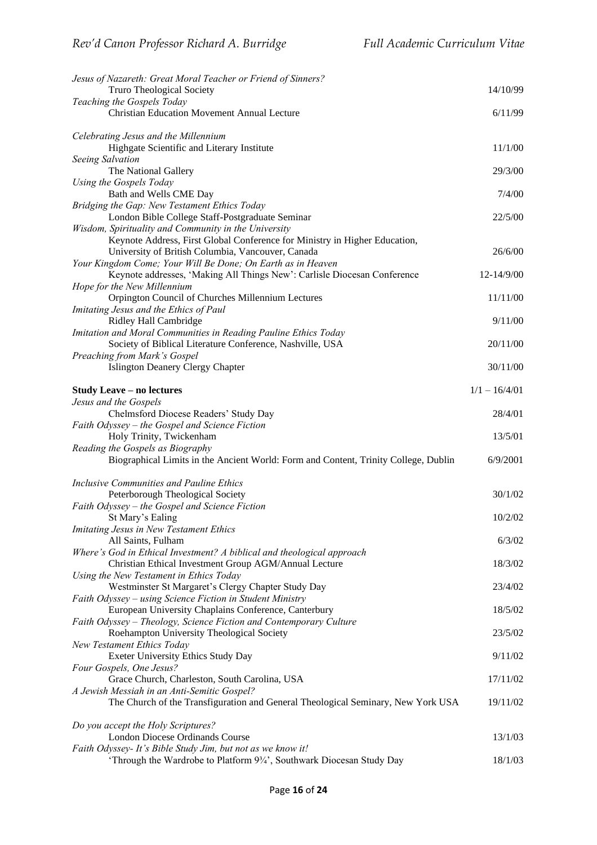| Jesus of Nazareth: Great Moral Teacher or Friend of Sinners?                                                                    |                 |
|---------------------------------------------------------------------------------------------------------------------------------|-----------------|
| <b>Truro Theological Society</b>                                                                                                | 14/10/99        |
| Teaching the Gospels Today<br><b>Christian Education Movement Annual Lecture</b>                                                | 6/11/99         |
|                                                                                                                                 |                 |
| Celebrating Jesus and the Millennium<br>Highgate Scientific and Literary Institute                                              | 11/1/00         |
| Seeing Salvation                                                                                                                |                 |
| The National Gallery                                                                                                            | 29/3/00         |
| Using the Gospels Today<br>Bath and Wells CME Day                                                                               | 7/4/00          |
| Bridging the Gap: New Testament Ethics Today                                                                                    |                 |
| London Bible College Staff-Postgraduate Seminar                                                                                 | 22/5/00         |
| Wisdom, Spirituality and Community in the University                                                                            |                 |
| Keynote Address, First Global Conference for Ministry in Higher Education,<br>University of British Columbia, Vancouver, Canada | 26/6/00         |
| Your Kingdom Come; Your Will Be Done; On Earth as in Heaven                                                                     |                 |
| Keynote addresses, 'Making All Things New': Carlisle Diocesan Conference                                                        | 12-14/9/00      |
| Hope for the New Millennium<br>Orpington Council of Churches Millennium Lectures                                                | 11/11/00        |
| Imitating Jesus and the Ethics of Paul                                                                                          |                 |
| Ridley Hall Cambridge                                                                                                           | 9/11/00         |
| Imitation and Moral Communities in Reading Pauline Ethics Today<br>Society of Biblical Literature Conference, Nashville, USA    | 20/11/00        |
| Preaching from Mark's Gospel                                                                                                    |                 |
| <b>Islington Deanery Clergy Chapter</b>                                                                                         | 30/11/00        |
|                                                                                                                                 |                 |
| <b>Study Leave – no lectures</b><br>Jesus and the Gospels                                                                       | $1/1 - 16/4/01$ |
| Chelmsford Diocese Readers' Study Day                                                                                           | 28/4/01         |
| Faith Odyssey - the Gospel and Science Fiction                                                                                  |                 |
| Holy Trinity, Twickenham<br>Reading the Gospels as Biography                                                                    | 13/5/01         |
| Biographical Limits in the Ancient World: Form and Content, Trinity College, Dublin                                             | 6/9/2001        |
|                                                                                                                                 |                 |
| Inclusive Communities and Pauline Ethics<br>Peterborough Theological Society                                                    | 30/1/02         |
| Faith Odyssey - the Gospel and Science Fiction                                                                                  |                 |
| St Mary's Ealing                                                                                                                | 10/2/02         |
| <b>Imitating Jesus in New Testament Ethics</b><br>All Saints, Fulham                                                            | 6/3/02          |
| Where's God in Ethical Investment? A biblical and theological approach                                                          |                 |
| Christian Ethical Investment Group AGM/Annual Lecture                                                                           | 18/3/02         |
| Using the New Testament in Ethics Today                                                                                         |                 |
| Westminster St Margaret's Clergy Chapter Study Day<br>Faith Odyssey - using Science Fiction in Student Ministry                 | 23/4/02         |
| European University Chaplains Conference, Canterbury                                                                            | 18/5/02         |
| Faith Odyssey – Theology, Science Fiction and Contemporary Culture                                                              |                 |
| Roehampton University Theological Society<br>New Testament Ethics Today                                                         | 23/5/02         |
| Exeter University Ethics Study Day                                                                                              | 9/11/02         |
| Four Gospels, One Jesus?                                                                                                        |                 |
| Grace Church, Charleston, South Carolina, USA<br>A Jewish Messiah in an Anti-Semitic Gospel?                                    | 17/11/02        |
| The Church of the Transfiguration and General Theological Seminary, New York USA                                                | 19/11/02        |
|                                                                                                                                 |                 |
| Do you accept the Holy Scriptures?<br>London Diocese Ordinands Course                                                           | 13/1/03         |
| Faith Odyssey- It's Bible Study Jim, but not as we know it!                                                                     |                 |
| 'Through the Wardrobe to Platform 93/4', Southwark Diocesan Study Day                                                           | 18/1/03         |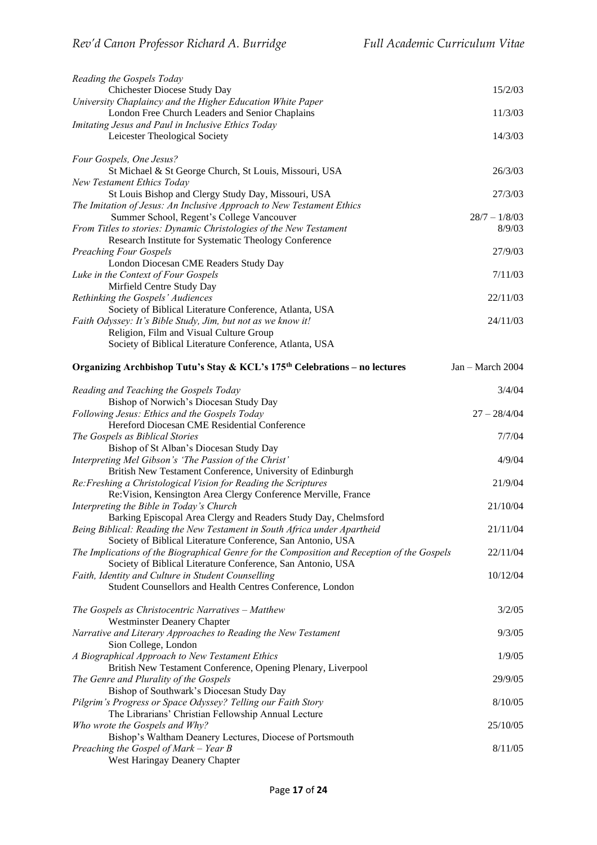| Reading the Gospels Today                                                                                                   |                    |
|-----------------------------------------------------------------------------------------------------------------------------|--------------------|
| Chichester Diocese Study Day                                                                                                | 15/2/03            |
| University Chaplaincy and the Higher Education White Paper                                                                  |                    |
| London Free Church Leaders and Senior Chaplains                                                                             | 11/3/03            |
| Imitating Jesus and Paul in Inclusive Ethics Today<br>Leicester Theological Society                                         | 14/3/03            |
|                                                                                                                             |                    |
| Four Gospels, One Jesus?                                                                                                    |                    |
| St Michael & St George Church, St Louis, Missouri, USA                                                                      | 26/3/03            |
| <b>New Testament Ethics Today</b>                                                                                           |                    |
| St Louis Bishop and Clergy Study Day, Missouri, USA                                                                         | 27/3/03            |
| The Imitation of Jesus: An Inclusive Approach to New Testament Ethics                                                       |                    |
| Summer School, Regent's College Vancouver                                                                                   | $28/7 - 1/8/03$    |
| From Titles to stories: Dynamic Christologies of the New Testament<br>Research Institute for Systematic Theology Conference | 8/9/03             |
| <b>Preaching Four Gospels</b>                                                                                               | 27/9/03            |
| London Diocesan CME Readers Study Day                                                                                       |                    |
| Luke in the Context of Four Gospels                                                                                         | 7/11/03            |
| Mirfield Centre Study Day                                                                                                   |                    |
| Rethinking the Gospels' Audiences                                                                                           | 22/11/03           |
| Society of Biblical Literature Conference, Atlanta, USA                                                                     |                    |
| Faith Odyssey: It's Bible Study, Jim, but not as we know it!                                                                | 24/11/03           |
| Religion, Film and Visual Culture Group                                                                                     |                    |
| Society of Biblical Literature Conference, Atlanta, USA                                                                     |                    |
| Organizing Archbishop Tutu's Stay & KCL's 175 <sup>th</sup> Celebrations – no lectures                                      | $Jan - March 2004$ |
| Reading and Teaching the Gospels Today                                                                                      | 3/4/04             |
| Bishop of Norwich's Diocesan Study Day                                                                                      |                    |
| Following Jesus: Ethics and the Gospels Today                                                                               | $27 - 28/4/04$     |
| Hereford Diocesan CME Residential Conference                                                                                |                    |
| The Gospels as Biblical Stories                                                                                             | 7/7/04             |
| Bishop of St Alban's Diocesan Study Day                                                                                     |                    |
| Interpreting Mel Gibson's 'The Passion of the Christ'                                                                       | 4/9/04             |
| British New Testament Conference, University of Edinburgh                                                                   |                    |
| Re: Freshing a Christological Vision for Reading the Scriptures                                                             | 21/9/04            |
| Re: Vision, Kensington Area Clergy Conference Merville, France<br>Interpreting the Bible in Today's Church                  | 21/10/04           |
| Barking Episcopal Area Clergy and Readers Study Day, Chelmsford                                                             |                    |
| Being Biblical: Reading the New Testament in South Africa under Apartheid                                                   | 21/11/04           |
| Society of Biblical Literature Conference, San Antonio, USA                                                                 |                    |
| The Implications of the Biographical Genre for the Composition and Reception of the Gospels                                 | 22/11/04           |
| Society of Biblical Literature Conference, San Antonio, USA                                                                 |                    |
| Faith, Identity and Culture in Student Counselling                                                                          | 10/12/04           |
| Student Counsellors and Health Centres Conference, London                                                                   |                    |
| The Gospels as Christocentric Narratives - Matthew                                                                          | 3/2/05             |
| <b>Westminster Deanery Chapter</b>                                                                                          |                    |
| Narrative and Literary Approaches to Reading the New Testament                                                              | 9/3/05             |
| Sion College, London                                                                                                        |                    |
| A Biographical Approach to New Testament Ethics                                                                             | 1/9/05             |
| British New Testament Conference, Opening Plenary, Liverpool                                                                |                    |
| The Genre and Plurality of the Gospels                                                                                      | 29/9/05            |
| Bishop of Southwark's Diocesan Study Day                                                                                    |                    |
| Pilgrim's Progress or Space Odyssey? Telling our Faith Story                                                                | 8/10/05            |
| The Librarians' Christian Fellowship Annual Lecture<br>Who wrote the Gospels and Why?                                       | 25/10/05           |
| Bishop's Waltham Deanery Lectures, Diocese of Portsmouth                                                                    |                    |
| Preaching the Gospel of Mark – Year B                                                                                       | 8/11/05            |
| West Haringay Deanery Chapter                                                                                               |                    |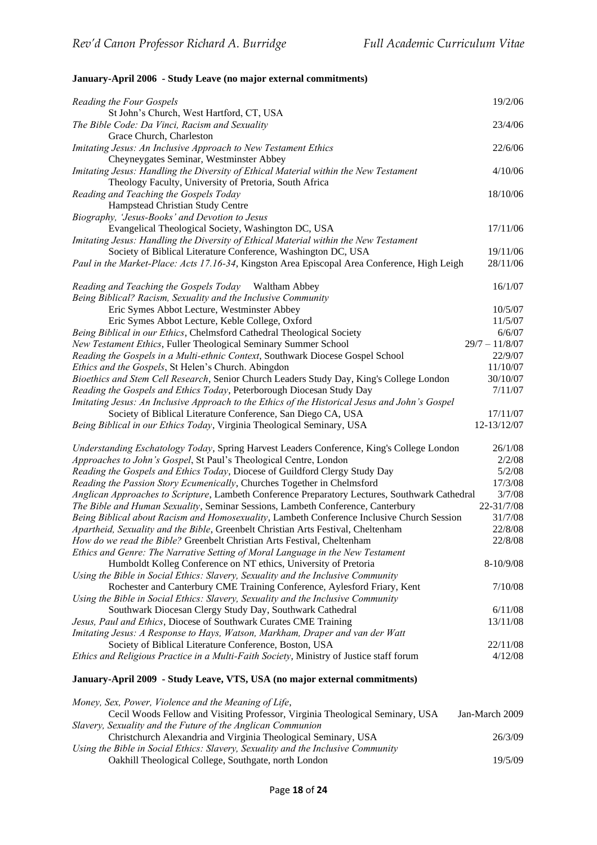## **January-April 2006 - Study Leave (no major external commitments)**

| Reading the Four Gospels                                                                       | 19/2/06          |
|------------------------------------------------------------------------------------------------|------------------|
| St John's Church, West Hartford, CT, USA                                                       |                  |
| The Bible Code: Da Vinci, Racism and Sexuality                                                 | 23/4/06          |
| Grace Church, Charleston                                                                       |                  |
| Imitating Jesus: An Inclusive Approach to New Testament Ethics                                 | 22/6/06          |
| Cheyneygates Seminar, Westminster Abbey                                                        |                  |
| Imitating Jesus: Handling the Diversity of Ethical Material within the New Testament           | 4/10/06          |
| Theology Faculty, University of Pretoria, South Africa                                         |                  |
| Reading and Teaching the Gospels Today                                                         | 18/10/06         |
| Hampstead Christian Study Centre                                                               |                  |
| Biography, 'Jesus-Books' and Devotion to Jesus                                                 |                  |
| Evangelical Theological Society, Washington DC, USA                                            | 17/11/06         |
| Imitating Jesus: Handling the Diversity of Ethical Material within the New Testament           |                  |
| Society of Biblical Literature Conference, Washington DC, USA                                  | 19/11/06         |
| Paul in the Market-Place: Acts 17.16-34, Kingston Area Episcopal Area Conference, High Leigh   | 28/11/06         |
|                                                                                                |                  |
| Reading and Teaching the Gospels Today Waltham Abbey                                           | 16/1/07          |
| Being Biblical? Racism, Sexuality and the Inclusive Community                                  |                  |
| Eric Symes Abbot Lecture, Westminster Abbey                                                    | 10/5/07          |
| Eric Symes Abbot Lecture, Keble College, Oxford                                                | 11/5/07          |
| Being Biblical in our Ethics, Chelmsford Cathedral Theological Society                         | 6/6/07           |
|                                                                                                | $29/7 - 11/8/07$ |
| New Testament Ethics, Fuller Theological Seminary Summer School                                |                  |
| Reading the Gospels in a Multi-ethnic Context, Southwark Diocese Gospel School                 | 22/9/07          |
| Ethics and the Gospels, St Helen's Church. Abingdon                                            | 11/10/07         |
| Bioethics and Stem Cell Research, Senior Church Leaders Study Day, King's College London       | 30/10/07         |
| Reading the Gospels and Ethics Today, Peterborough Diocesan Study Day                          | 7/11/07          |
| Imitating Jesus: An Inclusive Approach to the Ethics of the Historical Jesus and John's Gospel |                  |
| Society of Biblical Literature Conference, San Diego CA, USA                                   | 17/11/07         |
| Being Biblical in our Ethics Today, Virginia Theological Seminary, USA                         | 12-13/12/07      |
| Understanding Eschatology Today, Spring Harvest Leaders Conference, King's College London      | 26/1/08          |
| Approaches to John's Gospel, St Paul's Theological Centre, London                              | 2/2/08           |
| Reading the Gospels and Ethics Today, Diocese of Guildford Clergy Study Day                    | 5/2/08           |
| Reading the Passion Story Ecumenically, Churches Together in Chelmsford                        | 17/3/08          |
|                                                                                                | 3/7/08           |
| Anglican Approaches to Scripture, Lambeth Conference Preparatory Lectures, Southwark Cathedral |                  |
| The Bible and Human Sexuality, Seminar Sessions, Lambeth Conference, Canterbury                | 22-31/7/08       |
| Being Biblical about Racism and Homosexuality, Lambeth Conference Inclusive Church Session     | 31/7/08          |
| Apartheid, Sexuality and the Bible, Greenbelt Christian Arts Festival, Cheltenham              | 22/8/08          |
| How do we read the Bible? Greenbelt Christian Arts Festival, Cheltenham                        | 22/8/08          |
| Ethics and Genre: The Narrative Setting of Moral Language in the New Testament                 |                  |
| Humboldt Kolleg Conference on NT ethics, University of Pretoria                                | $8-10/9/08$      |
| Using the Bible in Social Ethics: Slavery, Sexuality and the Inclusive Community               |                  |
| Rochester and Canterbury CME Training Conference, Aylesford Friary, Kent                       | 7/10/08          |
| Using the Bible in Social Ethics: Slavery, Sexuality and the Inclusive Community               |                  |
| Southwark Diocesan Clergy Study Day, Southwark Cathedral                                       | 6/11/08          |
| Jesus, Paul and Ethics, Diocese of Southwark Curates CME Training                              | 13/11/08         |
| Imitating Jesus: A Response to Hays, Watson, Markham, Draper and van der Watt                  |                  |
| Society of Biblical Literature Conference, Boston, USA                                         | 22/11/08         |
| Ethics and Religious Practice in a Multi-Faith Society, Ministry of Justice staff forum        | 4/12/08          |
|                                                                                                |                  |
| January-April 2009 - Study Leave, VTS, USA (no major external commitments)                     |                  |
| Money, Sex, Power, Violence and the Meaning of Life,                                           |                  |
| Cecil Woods Fellow and Visiting Professor, Virginia Theological Seminary, USA                  | Jan-March 2009   |
| Slavery, Sexuality and the Future of the Anglican Communion                                    |                  |
| Christchurch Alexandria and Virginia Theological Seminary, USA                                 | 26/3/09          |
| Using the Bible in Social Ethics: Slavery, Sexuality and the Inclusive Community               |                  |
| Oakhill Theological College, Southgate, north London                                           | 19/5/09          |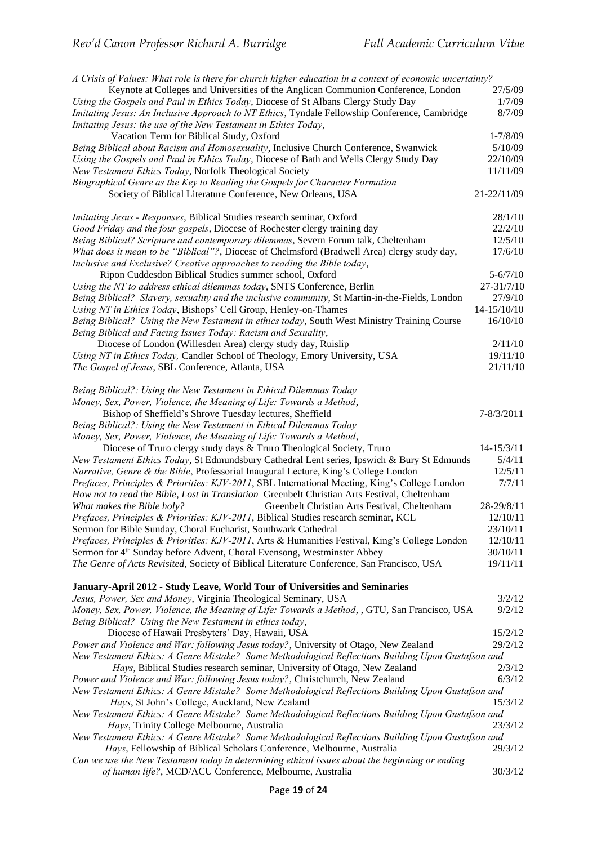| A Crisis of Values: What role is there for church higher education in a context of economic uncertainty? |              |
|----------------------------------------------------------------------------------------------------------|--------------|
| Keynote at Colleges and Universities of the Anglican Communion Conference, London                        | 27/5/09      |
| Using the Gospels and Paul in Ethics Today, Diocese of St Albans Clergy Study Day                        | 1/7/09       |
| Imitating Jesus: An Inclusive Approach to NT Ethics, Tyndale Fellowship Conference, Cambridge            | 8/7/09       |
| Imitating Jesus: the use of the New Testament in Ethics Today,                                           |              |
| Vacation Term for Biblical Study, Oxford                                                                 | $1 - 7/8/09$ |
| Being Biblical about Racism and Homosexuality, Inclusive Church Conference, Swanwick                     | 5/10/09      |
| Using the Gospels and Paul in Ethics Today, Diocese of Bath and Wells Clergy Study Day                   | 22/10/09     |
| New Testament Ethics Today, Norfolk Theological Society                                                  | 11/11/09     |
| Biographical Genre as the Key to Reading the Gospels for Character Formation                             |              |
| Society of Biblical Literature Conference, New Orleans, USA                                              | 21-22/11/09  |
| Imitating Jesus - Responses, Biblical Studies research seminar, Oxford                                   | 28/1/10      |
| Good Friday and the four gospels, Diocese of Rochester clergy training day                               | 22/2/10      |
| Being Biblical? Scripture and contemporary dilemmas, Severn Forum talk, Cheltenham                       | 12/5/10      |
| What does it mean to be "Biblical"?, Diocese of Chelmsford (Bradwell Area) clergy study day,             | 17/6/10      |
| Inclusive and Exclusive? Creative approaches to reading the Bible today,                                 |              |
| Ripon Cuddesdon Biblical Studies summer school, Oxford                                                   | $5 - 6/7/10$ |
| Using the NT to address ethical dilemmas today, SNTS Conference, Berlin                                  | 27-31/7/10   |
| Being Biblical? Slavery, sexuality and the inclusive community, St Martin-in-the-Fields, London          | 27/9/10      |
| Using NT in Ethics Today, Bishops' Cell Group, Henley-on-Thames                                          | 14-15/10/10  |
| Being Biblical? Using the New Testament in ethics today, South West Ministry Training Course             | 16/10/10     |
| Being Biblical and Facing Issues Today: Racism and Sexuality,                                            |              |
| Diocese of London (Willesden Area) clergy study day, Ruislip                                             | 2/11/10      |
| Using NT in Ethics Today, Candler School of Theology, Emory University, USA                              | 19/11/10     |
| The Gospel of Jesus, SBL Conference, Atlanta, USA                                                        | 21/11/10     |
|                                                                                                          |              |
| Being Biblical?: Using the New Testament in Ethical Dilemmas Today                                       |              |
| Money, Sex, Power, Violence, the Meaning of Life: Towards a Method,                                      |              |
| Bishop of Sheffield's Shrove Tuesday lectures, Sheffield                                                 | 7-8/3/2011   |
| Being Biblical?: Using the New Testament in Ethical Dilemmas Today                                       |              |
| Money, Sex, Power, Violence, the Meaning of Life: Towards a Method,                                      |              |
| Diocese of Truro clergy study days & Truro Theological Society, Truro                                    | 14-15/3/11   |
| New Testament Ethics Today, St Edmundsbury Cathedral Lent series, Ipswich & Bury St Edmunds              | 5/4/11       |
| Narrative, Genre & the Bible, Professorial Inaugural Lecture, King's College London                      | 12/5/11      |
| Prefaces, Principles & Priorities: KJV-2011, SBL International Meeting, King's College London            | 7/7/11       |
| How not to read the Bible, Lost in Translation Greenbelt Christian Arts Festival, Cheltenham             |              |
| What makes the Bible holy?<br>Greenbelt Christian Arts Festival, Cheltenham                              | 28-29/8/11   |
| Prefaces, Principles & Priorities: KJV-2011, Biblical Studies research seminar, KCL                      | 12/10/11     |
| Sermon for Bible Sunday, Choral Eucharist, Southwark Cathedral                                           | 23/10/11     |
| Prefaces, Principles & Priorities: KJV-2011, Arts & Humanities Festival, King's College London           | 12/10/11     |
| Sermon for 4 <sup>th</sup> Sunday before Advent, Choral Evensong, Westminster Abbey                      | 30/10/11     |
| The Genre of Acts Revisited, Society of Biblical Literature Conference, San Francisco, USA               | 19/11/11     |
|                                                                                                          |              |
| January-April 2012 - Study Leave, World Tour of Universities and Seminaries                              |              |
| Jesus, Power, Sex and Money, Virginia Theological Seminary, USA                                          | 3/2/12       |
| Money, Sex, Power, Violence, the Meaning of Life: Towards a Method, GTU, San Francisco, USA              | 9/2/12       |
| Being Biblical? Using the New Testament in ethics today,                                                 |              |
| Diocese of Hawaii Presbyters' Day, Hawaii, USA                                                           | 15/2/12      |
| Power and Violence and War: following Jesus today?, University of Otago, New Zealand                     | 29/2/12      |
| New Testament Ethics: A Genre Mistake? Some Methodological Reflections Building Upon Gustafson and       |              |
| Hays, Biblical Studies research seminar, University of Otago, New Zealand                                | 2/3/12       |
| Power and Violence and War: following Jesus today?, Christchurch, New Zealand                            | 6/3/12       |
| New Testament Ethics: A Genre Mistake? Some Methodological Reflections Building Upon Gustafson and       |              |
| Hays, St John's College, Auckland, New Zealand                                                           | 15/3/12      |
| New Testament Ethics: A Genre Mistake? Some Methodological Reflections Building Upon Gustafson and       |              |
| Hays, Trinity College Melbourne, Australia                                                               | 23/3/12      |
| New Testament Ethics: A Genre Mistake? Some Methodological Reflections Building Upon Gustafson and       |              |
| Hays, Fellowship of Biblical Scholars Conference, Melbourne, Australia                                   | 29/3/12      |
| Can we use the New Testament today in determining ethical issues about the beginning or ending           |              |
| of human life?, MCD/ACU Conference, Melbourne, Australia                                                 | 30/3/12      |
|                                                                                                          |              |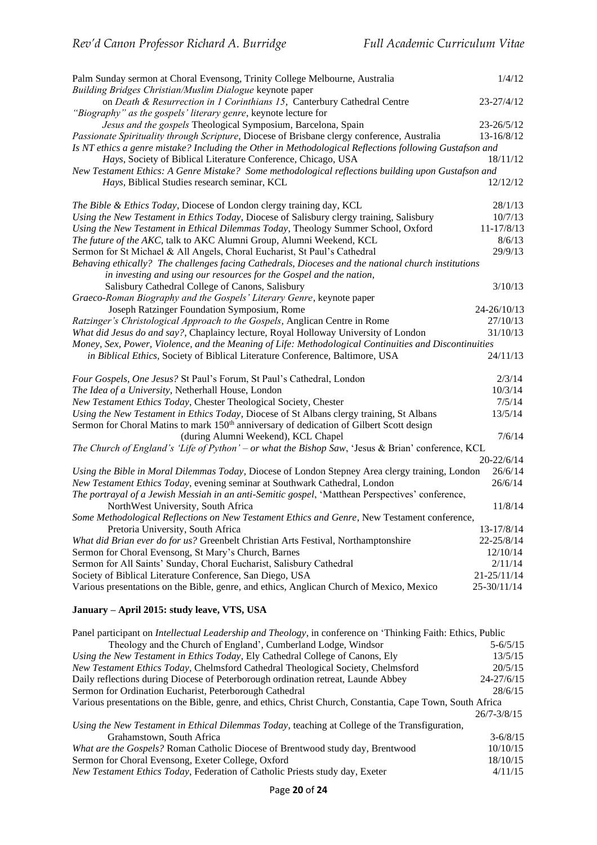| Palm Sunday sermon at Choral Evensong, Trinity College Melbourne, Australia                                                                                                                             | 1/4/12       |
|---------------------------------------------------------------------------------------------------------------------------------------------------------------------------------------------------------|--------------|
| Building Bridges Christian/Muslim Dialogue keynote paper<br>on Death & Resurrection in 1 Corinthians 15, Canterbury Cathedral Centre<br>"Biography" as the gospels' literary genre, keynote lecture for | 23-27/4/12   |
| Jesus and the gospels Theological Symposium, Barcelona, Spain                                                                                                                                           | 23-26/5/12   |
| Passionate Spirituality through Scripture, Diocese of Brisbane clergy conference, Australia                                                                                                             | 13-16/8/12   |
| Is NT ethics a genre mistake? Including the Other in Methodological Reflections following Gustafson and                                                                                                 |              |
| Hays, Society of Biblical Literature Conference, Chicago, USA                                                                                                                                           | 18/11/12     |
| New Testament Ethics: A Genre Mistake? Some methodological reflections building upon Gustafson and                                                                                                      |              |
| Hays, Biblical Studies research seminar, KCL                                                                                                                                                            | 12/12/12     |
| The Bible & Ethics Today, Diocese of London clergy training day, KCL                                                                                                                                    | 28/1/13      |
| Using the New Testament in Ethics Today, Diocese of Salisbury clergy training, Salisbury                                                                                                                | 10/7/13      |
| Using the New Testament in Ethical Dilemmas Today, Theology Summer School, Oxford                                                                                                                       | 11-17/8/13   |
| The future of the AKC, talk to AKC Alumni Group, Alumni Weekend, KCL                                                                                                                                    | 8/6/13       |
| Sermon for St Michael & All Angels, Choral Eucharist, St Paul's Cathedral                                                                                                                               | 29/9/13      |
| Behaving ethically? The challenges facing Cathedrals, Dioceses and the national church institutions                                                                                                     |              |
| in investing and using our resources for the Gospel and the nation,                                                                                                                                     |              |
| Salisbury Cathedral College of Canons, Salisbury                                                                                                                                                        | 3/10/13      |
| Graeco-Roman Biography and the Gospels' Literary Genre, keynote paper                                                                                                                                   |              |
| Joseph Ratzinger Foundation Symposium, Rome                                                                                                                                                             | 24-26/10/13  |
| Ratzinger's Christological Approach to the Gospels, Anglican Centre in Rome                                                                                                                             | 27/10/13     |
| What did Jesus do and say?, Chaplaincy lecture, Royal Holloway University of London                                                                                                                     | 31/10/13     |
| Money, Sex, Power, Violence, and the Meaning of Life: Methodological Continuities and Discontinuities<br>in Biblical Ethics, Society of Biblical Literature Conference, Baltimore, USA                  | 24/11/13     |
| Four Gospels, One Jesus? St Paul's Forum, St Paul's Cathedral, London                                                                                                                                   | 2/3/14       |
| The Idea of a University, Netherhall House, London                                                                                                                                                      | 10/3/14      |
| New Testament Ethics Today, Chester Theological Society, Chester                                                                                                                                        | 7/5/14       |
| Using the New Testament in Ethics Today, Diocese of St Albans clergy training, St Albans                                                                                                                | 13/5/14      |
| Sermon for Choral Matins to mark 150 <sup>th</sup> anniversary of dedication of Gilbert Scott design                                                                                                    |              |
| (during Alumni Weekend), KCL Chapel                                                                                                                                                                     | 7/6/14       |
| The Church of England's 'Life of Python' – or what the Bishop Saw, 'Jesus & Brian' conference, KCL                                                                                                      |              |
|                                                                                                                                                                                                         | 20-22/6/14   |
| Using the Bible in Moral Dilemmas Today, Diocese of London Stepney Area clergy training, London                                                                                                         | 26/6/14      |
| New Testament Ethics Today, evening seminar at Southwark Cathedral, London                                                                                                                              | 26/6/14      |
| The portrayal of a Jewish Messiah in an anti-Semitic gospel, 'Matthean Perspectives' conference,<br>NorthWest University, South Africa                                                                  | 11/8/14      |
| Some Methodological Reflections on New Testament Ethics and Genre, New Testament conference,                                                                                                            |              |
| Pretoria University, South Africa                                                                                                                                                                       | 13-17/8/14   |
| What did Brian ever do for us? Greenbelt Christian Arts Festival, Northamptonshire                                                                                                                      | 22-25/8/14   |
| Sermon for Choral Evensong, St Mary's Church, Barnes                                                                                                                                                    | 12/10/14     |
| Sermon for All Saints' Sunday, Choral Eucharist, Salisbury Cathedral                                                                                                                                    | 2/11/14      |
| Society of Biblical Literature Conference, San Diego, USA                                                                                                                                               | 21-25/11/14  |
| Various presentations on the Bible, genre, and ethics, Anglican Church of Mexico, Mexico                                                                                                                | 25-30/11/14  |
| January - April 2015: study leave, VTS, USA                                                                                                                                                             |              |
| Panel participant on <i>Intellectual Leadership and Theology</i> , in conference on 'Thinking Faith: Ethics, Public                                                                                     |              |
| Theology and the Church of England', Cumberland Lodge, Windsor                                                                                                                                          | $5 - 6/5/15$ |
| Using the New Testament in Ethics Today, Ely Cathedral College of Canons, Ely                                                                                                                           | 13/5/15      |

| Using the New Testament in Ethics Today, Ely Cathedral College of Canons, Ely                             | 13/5/15         |
|-----------------------------------------------------------------------------------------------------------|-----------------|
| New Testament Ethics Today, Chelmsford Cathedral Theological Society, Chelmsford                          | 20/5/15         |
| Daily reflections during Diocese of Peterborough ordination retreat, Launde Abbey                         | $24 - 27/6/15$  |
| Sermon for Ordination Eucharist, Peterborough Cathedral                                                   | 28/6/15         |
| Various presentations on the Bible, genre, and ethics, Christ Church, Constantia, Cape Town, South Africa |                 |
|                                                                                                           | $26/7 - 3/8/15$ |
| Using the New Testament in Ethical Dilemmas Today, teaching at College of the Transfiguration,            |                 |
| Grahamstown, South Africa                                                                                 | $3 - 6/8/15$    |
| What are the Gospels? Roman Catholic Diocese of Brentwood study day, Brentwood                            | 10/10/15        |
| Sermon for Choral Evensong, Exeter College, Oxford                                                        | 18/10/15        |
| <i>New Testament Ethics Today</i> , Federation of Catholic Priests study day, Exeter                      | 4/11/15         |
|                                                                                                           |                 |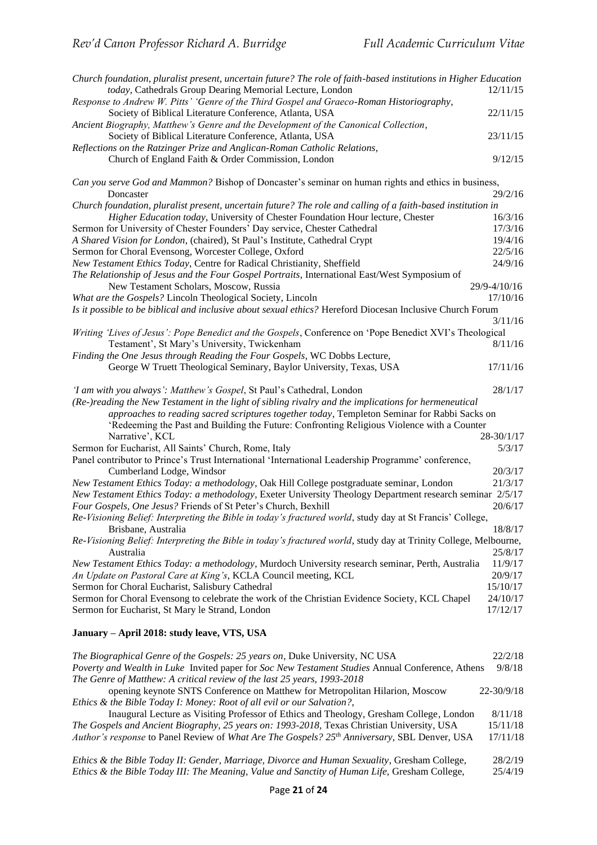| Church foundation, pluralist present, uncertain future? The role of faith-based institutions in Higher Education<br>today, Cathedrals Group Dearing Memorial Lecture, London<br>12/11/15<br>Response to Andrew W. Pitts' 'Genre of the Third Gospel and Graeco-Roman Historiography,<br>Society of Biblical Literature Conference, Atlanta, USA<br>22/11/15<br>Ancient Biography, Matthew's Genre and the Development of the Canonical Collection,<br>Society of Biblical Literature Conference, Atlanta, USA<br>23/11/15<br>Reflections on the Ratzinger Prize and Anglican-Roman Catholic Relations,<br>Church of England Faith & Order Commission, London<br>9/12/15<br>Can you serve God and Mammon? Bishop of Doncaster's seminar on human rights and ethics in business,<br>29/2/16<br>Doncaster<br>Church foundation, pluralist present, uncertain future? The role and calling of a faith-based institution in<br>Higher Education today, University of Chester Foundation Hour lecture, Chester<br>16/3/16<br>Sermon for University of Chester Founders' Day service, Chester Cathedral<br>17/3/16<br>A Shared Vision for London, (chaired), St Paul's Institute, Cathedral Crypt<br>19/4/16<br>22/5/16<br>Sermon for Choral Evensong, Worcester College, Oxford<br>24/9/16<br>New Testament Ethics Today, Centre for Radical Christianity, Sheffield<br>The Relationship of Jesus and the Four Gospel Portraits, International East/West Symposium of<br>29/9-4/10/16<br>New Testament Scholars, Moscow, Russia<br>What are the Gospels? Lincoln Theological Society, Lincoln<br>17/10/16<br>Is it possible to be biblical and inclusive about sexual ethics? Hereford Diocesan Inclusive Church Forum<br>3/11/16<br>Writing 'Lives of Jesus': Pope Benedict and the Gospels, Conference on 'Pope Benedict XVI's Theological<br>8/11/16<br>Testament', St Mary's University, Twickenham<br>Finding the One Jesus through Reading the Four Gospels, WC Dobbs Lecture,<br>George W Truett Theological Seminary, Baylor University, Texas, USA<br>17/11/16<br>28/1/17<br>'I am with you always': Matthew's Gospel, St Paul's Cathedral, London<br>(Re-)reading the New Testament in the light of sibling rivalry and the implications for hermeneutical<br>approaches to reading sacred scriptures together today, Templeton Seminar for Rabbi Sacks on<br>'Redeeming the Past and Building the Future: Confronting Religious Violence with a Counter<br>Narrative', KCL<br>28-30/1/17<br>Sermon for Eucharist, All Saints' Church, Rome, Italy<br>5/3/17<br>Panel contributor to Prince's Trust International 'International Leadership Programme' conference,<br>Cumberland Lodge, Windsor<br>20/3/17<br>New Testament Ethics Today: a methodology, Oak Hill College postgraduate seminar, London<br>21/3/17<br>New Testament Ethics Today: a methodology, Exeter University Theology Department research seminar 2/5/17<br>Four Gospels, One Jesus? Friends of St Peter's Church, Bexhill<br>20/6/17<br>Re-Visioning Belief: Interpreting the Bible in today's fractured world, study day at St Francis' College,<br>18/8/17<br>Brisbane, Australia<br>Re-Visioning Belief: Interpreting the Bible in today's fractured world, study day at Trinity College, Melbourne,<br>Australia<br>25/8/17<br>New Testament Ethics Today: a methodology, Murdoch University research seminar, Perth, Australia<br>11/9/17<br>An Update on Pastoral Care at King's, KCLA Council meeting, KCL<br>20/9/17<br>Sermon for Choral Eucharist, Salisbury Cathedral<br>15/10/17<br>Sermon for Choral Evensong to celebrate the work of the Christian Evidence Society, KCL Chapel<br>24/10/17<br>Sermon for Eucharist, St Mary le Strand, London<br>17/12/17<br>January - April 2018: study leave, VTS, USA<br>The Biographical Genre of the Gospels: 25 years on, Duke University, NC USA<br>22/2/18 |  |
|----------------------------------------------------------------------------------------------------------------------------------------------------------------------------------------------------------------------------------------------------------------------------------------------------------------------------------------------------------------------------------------------------------------------------------------------------------------------------------------------------------------------------------------------------------------------------------------------------------------------------------------------------------------------------------------------------------------------------------------------------------------------------------------------------------------------------------------------------------------------------------------------------------------------------------------------------------------------------------------------------------------------------------------------------------------------------------------------------------------------------------------------------------------------------------------------------------------------------------------------------------------------------------------------------------------------------------------------------------------------------------------------------------------------------------------------------------------------------------------------------------------------------------------------------------------------------------------------------------------------------------------------------------------------------------------------------------------------------------------------------------------------------------------------------------------------------------------------------------------------------------------------------------------------------------------------------------------------------------------------------------------------------------------------------------------------------------------------------------------------------------------------------------------------------------------------------------------------------------------------------------------------------------------------------------------------------------------------------------------------------------------------------------------------------------------------------------------------------------------------------------------------------------------------------------------------------------------------------------------------------------------------------------------------------------------------------------------------------------------------------------------------------------------------------------------------------------------------------------------------------------------------------------------------------------------------------------------------------------------------------------------------------------------------------------------------------------------------------------------------------------------------------------------------------------------------------------------------------------------------------------------------------------------------------------------------------------------------------------------------------------------------------------------------------------------------------------------------------------------------------------------------------------------------------------------------------------------------------------------------------------------------------------------------------------------------------------------------------------------------------------------------------------------------------------------------------------------------------------------------------------------------|--|
|                                                                                                                                                                                                                                                                                                                                                                                                                                                                                                                                                                                                                                                                                                                                                                                                                                                                                                                                                                                                                                                                                                                                                                                                                                                                                                                                                                                                                                                                                                                                                                                                                                                                                                                                                                                                                                                                                                                                                                                                                                                                                                                                                                                                                                                                                                                                                                                                                                                                                                                                                                                                                                                                                                                                                                                                                                                                                                                                                                                                                                                                                                                                                                                                                                                                                                                                                                                                                                                                                                                                                                                                                                                                                                                                                                                                                                                                                              |  |
|                                                                                                                                                                                                                                                                                                                                                                                                                                                                                                                                                                                                                                                                                                                                                                                                                                                                                                                                                                                                                                                                                                                                                                                                                                                                                                                                                                                                                                                                                                                                                                                                                                                                                                                                                                                                                                                                                                                                                                                                                                                                                                                                                                                                                                                                                                                                                                                                                                                                                                                                                                                                                                                                                                                                                                                                                                                                                                                                                                                                                                                                                                                                                                                                                                                                                                                                                                                                                                                                                                                                                                                                                                                                                                                                                                                                                                                                                              |  |
|                                                                                                                                                                                                                                                                                                                                                                                                                                                                                                                                                                                                                                                                                                                                                                                                                                                                                                                                                                                                                                                                                                                                                                                                                                                                                                                                                                                                                                                                                                                                                                                                                                                                                                                                                                                                                                                                                                                                                                                                                                                                                                                                                                                                                                                                                                                                                                                                                                                                                                                                                                                                                                                                                                                                                                                                                                                                                                                                                                                                                                                                                                                                                                                                                                                                                                                                                                                                                                                                                                                                                                                                                                                                                                                                                                                                                                                                                              |  |
|                                                                                                                                                                                                                                                                                                                                                                                                                                                                                                                                                                                                                                                                                                                                                                                                                                                                                                                                                                                                                                                                                                                                                                                                                                                                                                                                                                                                                                                                                                                                                                                                                                                                                                                                                                                                                                                                                                                                                                                                                                                                                                                                                                                                                                                                                                                                                                                                                                                                                                                                                                                                                                                                                                                                                                                                                                                                                                                                                                                                                                                                                                                                                                                                                                                                                                                                                                                                                                                                                                                                                                                                                                                                                                                                                                                                                                                                                              |  |
|                                                                                                                                                                                                                                                                                                                                                                                                                                                                                                                                                                                                                                                                                                                                                                                                                                                                                                                                                                                                                                                                                                                                                                                                                                                                                                                                                                                                                                                                                                                                                                                                                                                                                                                                                                                                                                                                                                                                                                                                                                                                                                                                                                                                                                                                                                                                                                                                                                                                                                                                                                                                                                                                                                                                                                                                                                                                                                                                                                                                                                                                                                                                                                                                                                                                                                                                                                                                                                                                                                                                                                                                                                                                                                                                                                                                                                                                                              |  |
|                                                                                                                                                                                                                                                                                                                                                                                                                                                                                                                                                                                                                                                                                                                                                                                                                                                                                                                                                                                                                                                                                                                                                                                                                                                                                                                                                                                                                                                                                                                                                                                                                                                                                                                                                                                                                                                                                                                                                                                                                                                                                                                                                                                                                                                                                                                                                                                                                                                                                                                                                                                                                                                                                                                                                                                                                                                                                                                                                                                                                                                                                                                                                                                                                                                                                                                                                                                                                                                                                                                                                                                                                                                                                                                                                                                                                                                                                              |  |
|                                                                                                                                                                                                                                                                                                                                                                                                                                                                                                                                                                                                                                                                                                                                                                                                                                                                                                                                                                                                                                                                                                                                                                                                                                                                                                                                                                                                                                                                                                                                                                                                                                                                                                                                                                                                                                                                                                                                                                                                                                                                                                                                                                                                                                                                                                                                                                                                                                                                                                                                                                                                                                                                                                                                                                                                                                                                                                                                                                                                                                                                                                                                                                                                                                                                                                                                                                                                                                                                                                                                                                                                                                                                                                                                                                                                                                                                                              |  |
|                                                                                                                                                                                                                                                                                                                                                                                                                                                                                                                                                                                                                                                                                                                                                                                                                                                                                                                                                                                                                                                                                                                                                                                                                                                                                                                                                                                                                                                                                                                                                                                                                                                                                                                                                                                                                                                                                                                                                                                                                                                                                                                                                                                                                                                                                                                                                                                                                                                                                                                                                                                                                                                                                                                                                                                                                                                                                                                                                                                                                                                                                                                                                                                                                                                                                                                                                                                                                                                                                                                                                                                                                                                                                                                                                                                                                                                                                              |  |
|                                                                                                                                                                                                                                                                                                                                                                                                                                                                                                                                                                                                                                                                                                                                                                                                                                                                                                                                                                                                                                                                                                                                                                                                                                                                                                                                                                                                                                                                                                                                                                                                                                                                                                                                                                                                                                                                                                                                                                                                                                                                                                                                                                                                                                                                                                                                                                                                                                                                                                                                                                                                                                                                                                                                                                                                                                                                                                                                                                                                                                                                                                                                                                                                                                                                                                                                                                                                                                                                                                                                                                                                                                                                                                                                                                                                                                                                                              |  |
|                                                                                                                                                                                                                                                                                                                                                                                                                                                                                                                                                                                                                                                                                                                                                                                                                                                                                                                                                                                                                                                                                                                                                                                                                                                                                                                                                                                                                                                                                                                                                                                                                                                                                                                                                                                                                                                                                                                                                                                                                                                                                                                                                                                                                                                                                                                                                                                                                                                                                                                                                                                                                                                                                                                                                                                                                                                                                                                                                                                                                                                                                                                                                                                                                                                                                                                                                                                                                                                                                                                                                                                                                                                                                                                                                                                                                                                                                              |  |
|                                                                                                                                                                                                                                                                                                                                                                                                                                                                                                                                                                                                                                                                                                                                                                                                                                                                                                                                                                                                                                                                                                                                                                                                                                                                                                                                                                                                                                                                                                                                                                                                                                                                                                                                                                                                                                                                                                                                                                                                                                                                                                                                                                                                                                                                                                                                                                                                                                                                                                                                                                                                                                                                                                                                                                                                                                                                                                                                                                                                                                                                                                                                                                                                                                                                                                                                                                                                                                                                                                                                                                                                                                                                                                                                                                                                                                                                                              |  |
|                                                                                                                                                                                                                                                                                                                                                                                                                                                                                                                                                                                                                                                                                                                                                                                                                                                                                                                                                                                                                                                                                                                                                                                                                                                                                                                                                                                                                                                                                                                                                                                                                                                                                                                                                                                                                                                                                                                                                                                                                                                                                                                                                                                                                                                                                                                                                                                                                                                                                                                                                                                                                                                                                                                                                                                                                                                                                                                                                                                                                                                                                                                                                                                                                                                                                                                                                                                                                                                                                                                                                                                                                                                                                                                                                                                                                                                                                              |  |
|                                                                                                                                                                                                                                                                                                                                                                                                                                                                                                                                                                                                                                                                                                                                                                                                                                                                                                                                                                                                                                                                                                                                                                                                                                                                                                                                                                                                                                                                                                                                                                                                                                                                                                                                                                                                                                                                                                                                                                                                                                                                                                                                                                                                                                                                                                                                                                                                                                                                                                                                                                                                                                                                                                                                                                                                                                                                                                                                                                                                                                                                                                                                                                                                                                                                                                                                                                                                                                                                                                                                                                                                                                                                                                                                                                                                                                                                                              |  |
|                                                                                                                                                                                                                                                                                                                                                                                                                                                                                                                                                                                                                                                                                                                                                                                                                                                                                                                                                                                                                                                                                                                                                                                                                                                                                                                                                                                                                                                                                                                                                                                                                                                                                                                                                                                                                                                                                                                                                                                                                                                                                                                                                                                                                                                                                                                                                                                                                                                                                                                                                                                                                                                                                                                                                                                                                                                                                                                                                                                                                                                                                                                                                                                                                                                                                                                                                                                                                                                                                                                                                                                                                                                                                                                                                                                                                                                                                              |  |
|                                                                                                                                                                                                                                                                                                                                                                                                                                                                                                                                                                                                                                                                                                                                                                                                                                                                                                                                                                                                                                                                                                                                                                                                                                                                                                                                                                                                                                                                                                                                                                                                                                                                                                                                                                                                                                                                                                                                                                                                                                                                                                                                                                                                                                                                                                                                                                                                                                                                                                                                                                                                                                                                                                                                                                                                                                                                                                                                                                                                                                                                                                                                                                                                                                                                                                                                                                                                                                                                                                                                                                                                                                                                                                                                                                                                                                                                                              |  |
|                                                                                                                                                                                                                                                                                                                                                                                                                                                                                                                                                                                                                                                                                                                                                                                                                                                                                                                                                                                                                                                                                                                                                                                                                                                                                                                                                                                                                                                                                                                                                                                                                                                                                                                                                                                                                                                                                                                                                                                                                                                                                                                                                                                                                                                                                                                                                                                                                                                                                                                                                                                                                                                                                                                                                                                                                                                                                                                                                                                                                                                                                                                                                                                                                                                                                                                                                                                                                                                                                                                                                                                                                                                                                                                                                                                                                                                                                              |  |
|                                                                                                                                                                                                                                                                                                                                                                                                                                                                                                                                                                                                                                                                                                                                                                                                                                                                                                                                                                                                                                                                                                                                                                                                                                                                                                                                                                                                                                                                                                                                                                                                                                                                                                                                                                                                                                                                                                                                                                                                                                                                                                                                                                                                                                                                                                                                                                                                                                                                                                                                                                                                                                                                                                                                                                                                                                                                                                                                                                                                                                                                                                                                                                                                                                                                                                                                                                                                                                                                                                                                                                                                                                                                                                                                                                                                                                                                                              |  |
|                                                                                                                                                                                                                                                                                                                                                                                                                                                                                                                                                                                                                                                                                                                                                                                                                                                                                                                                                                                                                                                                                                                                                                                                                                                                                                                                                                                                                                                                                                                                                                                                                                                                                                                                                                                                                                                                                                                                                                                                                                                                                                                                                                                                                                                                                                                                                                                                                                                                                                                                                                                                                                                                                                                                                                                                                                                                                                                                                                                                                                                                                                                                                                                                                                                                                                                                                                                                                                                                                                                                                                                                                                                                                                                                                                                                                                                                                              |  |
|                                                                                                                                                                                                                                                                                                                                                                                                                                                                                                                                                                                                                                                                                                                                                                                                                                                                                                                                                                                                                                                                                                                                                                                                                                                                                                                                                                                                                                                                                                                                                                                                                                                                                                                                                                                                                                                                                                                                                                                                                                                                                                                                                                                                                                                                                                                                                                                                                                                                                                                                                                                                                                                                                                                                                                                                                                                                                                                                                                                                                                                                                                                                                                                                                                                                                                                                                                                                                                                                                                                                                                                                                                                                                                                                                                                                                                                                                              |  |
|                                                                                                                                                                                                                                                                                                                                                                                                                                                                                                                                                                                                                                                                                                                                                                                                                                                                                                                                                                                                                                                                                                                                                                                                                                                                                                                                                                                                                                                                                                                                                                                                                                                                                                                                                                                                                                                                                                                                                                                                                                                                                                                                                                                                                                                                                                                                                                                                                                                                                                                                                                                                                                                                                                                                                                                                                                                                                                                                                                                                                                                                                                                                                                                                                                                                                                                                                                                                                                                                                                                                                                                                                                                                                                                                                                                                                                                                                              |  |
|                                                                                                                                                                                                                                                                                                                                                                                                                                                                                                                                                                                                                                                                                                                                                                                                                                                                                                                                                                                                                                                                                                                                                                                                                                                                                                                                                                                                                                                                                                                                                                                                                                                                                                                                                                                                                                                                                                                                                                                                                                                                                                                                                                                                                                                                                                                                                                                                                                                                                                                                                                                                                                                                                                                                                                                                                                                                                                                                                                                                                                                                                                                                                                                                                                                                                                                                                                                                                                                                                                                                                                                                                                                                                                                                                                                                                                                                                              |  |
|                                                                                                                                                                                                                                                                                                                                                                                                                                                                                                                                                                                                                                                                                                                                                                                                                                                                                                                                                                                                                                                                                                                                                                                                                                                                                                                                                                                                                                                                                                                                                                                                                                                                                                                                                                                                                                                                                                                                                                                                                                                                                                                                                                                                                                                                                                                                                                                                                                                                                                                                                                                                                                                                                                                                                                                                                                                                                                                                                                                                                                                                                                                                                                                                                                                                                                                                                                                                                                                                                                                                                                                                                                                                                                                                                                                                                                                                                              |  |
|                                                                                                                                                                                                                                                                                                                                                                                                                                                                                                                                                                                                                                                                                                                                                                                                                                                                                                                                                                                                                                                                                                                                                                                                                                                                                                                                                                                                                                                                                                                                                                                                                                                                                                                                                                                                                                                                                                                                                                                                                                                                                                                                                                                                                                                                                                                                                                                                                                                                                                                                                                                                                                                                                                                                                                                                                                                                                                                                                                                                                                                                                                                                                                                                                                                                                                                                                                                                                                                                                                                                                                                                                                                                                                                                                                                                                                                                                              |  |
|                                                                                                                                                                                                                                                                                                                                                                                                                                                                                                                                                                                                                                                                                                                                                                                                                                                                                                                                                                                                                                                                                                                                                                                                                                                                                                                                                                                                                                                                                                                                                                                                                                                                                                                                                                                                                                                                                                                                                                                                                                                                                                                                                                                                                                                                                                                                                                                                                                                                                                                                                                                                                                                                                                                                                                                                                                                                                                                                                                                                                                                                                                                                                                                                                                                                                                                                                                                                                                                                                                                                                                                                                                                                                                                                                                                                                                                                                              |  |
|                                                                                                                                                                                                                                                                                                                                                                                                                                                                                                                                                                                                                                                                                                                                                                                                                                                                                                                                                                                                                                                                                                                                                                                                                                                                                                                                                                                                                                                                                                                                                                                                                                                                                                                                                                                                                                                                                                                                                                                                                                                                                                                                                                                                                                                                                                                                                                                                                                                                                                                                                                                                                                                                                                                                                                                                                                                                                                                                                                                                                                                                                                                                                                                                                                                                                                                                                                                                                                                                                                                                                                                                                                                                                                                                                                                                                                                                                              |  |
|                                                                                                                                                                                                                                                                                                                                                                                                                                                                                                                                                                                                                                                                                                                                                                                                                                                                                                                                                                                                                                                                                                                                                                                                                                                                                                                                                                                                                                                                                                                                                                                                                                                                                                                                                                                                                                                                                                                                                                                                                                                                                                                                                                                                                                                                                                                                                                                                                                                                                                                                                                                                                                                                                                                                                                                                                                                                                                                                                                                                                                                                                                                                                                                                                                                                                                                                                                                                                                                                                                                                                                                                                                                                                                                                                                                                                                                                                              |  |
|                                                                                                                                                                                                                                                                                                                                                                                                                                                                                                                                                                                                                                                                                                                                                                                                                                                                                                                                                                                                                                                                                                                                                                                                                                                                                                                                                                                                                                                                                                                                                                                                                                                                                                                                                                                                                                                                                                                                                                                                                                                                                                                                                                                                                                                                                                                                                                                                                                                                                                                                                                                                                                                                                                                                                                                                                                                                                                                                                                                                                                                                                                                                                                                                                                                                                                                                                                                                                                                                                                                                                                                                                                                                                                                                                                                                                                                                                              |  |
|                                                                                                                                                                                                                                                                                                                                                                                                                                                                                                                                                                                                                                                                                                                                                                                                                                                                                                                                                                                                                                                                                                                                                                                                                                                                                                                                                                                                                                                                                                                                                                                                                                                                                                                                                                                                                                                                                                                                                                                                                                                                                                                                                                                                                                                                                                                                                                                                                                                                                                                                                                                                                                                                                                                                                                                                                                                                                                                                                                                                                                                                                                                                                                                                                                                                                                                                                                                                                                                                                                                                                                                                                                                                                                                                                                                                                                                                                              |  |
|                                                                                                                                                                                                                                                                                                                                                                                                                                                                                                                                                                                                                                                                                                                                                                                                                                                                                                                                                                                                                                                                                                                                                                                                                                                                                                                                                                                                                                                                                                                                                                                                                                                                                                                                                                                                                                                                                                                                                                                                                                                                                                                                                                                                                                                                                                                                                                                                                                                                                                                                                                                                                                                                                                                                                                                                                                                                                                                                                                                                                                                                                                                                                                                                                                                                                                                                                                                                                                                                                                                                                                                                                                                                                                                                                                                                                                                                                              |  |
|                                                                                                                                                                                                                                                                                                                                                                                                                                                                                                                                                                                                                                                                                                                                                                                                                                                                                                                                                                                                                                                                                                                                                                                                                                                                                                                                                                                                                                                                                                                                                                                                                                                                                                                                                                                                                                                                                                                                                                                                                                                                                                                                                                                                                                                                                                                                                                                                                                                                                                                                                                                                                                                                                                                                                                                                                                                                                                                                                                                                                                                                                                                                                                                                                                                                                                                                                                                                                                                                                                                                                                                                                                                                                                                                                                                                                                                                                              |  |
|                                                                                                                                                                                                                                                                                                                                                                                                                                                                                                                                                                                                                                                                                                                                                                                                                                                                                                                                                                                                                                                                                                                                                                                                                                                                                                                                                                                                                                                                                                                                                                                                                                                                                                                                                                                                                                                                                                                                                                                                                                                                                                                                                                                                                                                                                                                                                                                                                                                                                                                                                                                                                                                                                                                                                                                                                                                                                                                                                                                                                                                                                                                                                                                                                                                                                                                                                                                                                                                                                                                                                                                                                                                                                                                                                                                                                                                                                              |  |
|                                                                                                                                                                                                                                                                                                                                                                                                                                                                                                                                                                                                                                                                                                                                                                                                                                                                                                                                                                                                                                                                                                                                                                                                                                                                                                                                                                                                                                                                                                                                                                                                                                                                                                                                                                                                                                                                                                                                                                                                                                                                                                                                                                                                                                                                                                                                                                                                                                                                                                                                                                                                                                                                                                                                                                                                                                                                                                                                                                                                                                                                                                                                                                                                                                                                                                                                                                                                                                                                                                                                                                                                                                                                                                                                                                                                                                                                                              |  |
|                                                                                                                                                                                                                                                                                                                                                                                                                                                                                                                                                                                                                                                                                                                                                                                                                                                                                                                                                                                                                                                                                                                                                                                                                                                                                                                                                                                                                                                                                                                                                                                                                                                                                                                                                                                                                                                                                                                                                                                                                                                                                                                                                                                                                                                                                                                                                                                                                                                                                                                                                                                                                                                                                                                                                                                                                                                                                                                                                                                                                                                                                                                                                                                                                                                                                                                                                                                                                                                                                                                                                                                                                                                                                                                                                                                                                                                                                              |  |
|                                                                                                                                                                                                                                                                                                                                                                                                                                                                                                                                                                                                                                                                                                                                                                                                                                                                                                                                                                                                                                                                                                                                                                                                                                                                                                                                                                                                                                                                                                                                                                                                                                                                                                                                                                                                                                                                                                                                                                                                                                                                                                                                                                                                                                                                                                                                                                                                                                                                                                                                                                                                                                                                                                                                                                                                                                                                                                                                                                                                                                                                                                                                                                                                                                                                                                                                                                                                                                                                                                                                                                                                                                                                                                                                                                                                                                                                                              |  |
|                                                                                                                                                                                                                                                                                                                                                                                                                                                                                                                                                                                                                                                                                                                                                                                                                                                                                                                                                                                                                                                                                                                                                                                                                                                                                                                                                                                                                                                                                                                                                                                                                                                                                                                                                                                                                                                                                                                                                                                                                                                                                                                                                                                                                                                                                                                                                                                                                                                                                                                                                                                                                                                                                                                                                                                                                                                                                                                                                                                                                                                                                                                                                                                                                                                                                                                                                                                                                                                                                                                                                                                                                                                                                                                                                                                                                                                                                              |  |
|                                                                                                                                                                                                                                                                                                                                                                                                                                                                                                                                                                                                                                                                                                                                                                                                                                                                                                                                                                                                                                                                                                                                                                                                                                                                                                                                                                                                                                                                                                                                                                                                                                                                                                                                                                                                                                                                                                                                                                                                                                                                                                                                                                                                                                                                                                                                                                                                                                                                                                                                                                                                                                                                                                                                                                                                                                                                                                                                                                                                                                                                                                                                                                                                                                                                                                                                                                                                                                                                                                                                                                                                                                                                                                                                                                                                                                                                                              |  |
|                                                                                                                                                                                                                                                                                                                                                                                                                                                                                                                                                                                                                                                                                                                                                                                                                                                                                                                                                                                                                                                                                                                                                                                                                                                                                                                                                                                                                                                                                                                                                                                                                                                                                                                                                                                                                                                                                                                                                                                                                                                                                                                                                                                                                                                                                                                                                                                                                                                                                                                                                                                                                                                                                                                                                                                                                                                                                                                                                                                                                                                                                                                                                                                                                                                                                                                                                                                                                                                                                                                                                                                                                                                                                                                                                                                                                                                                                              |  |
|                                                                                                                                                                                                                                                                                                                                                                                                                                                                                                                                                                                                                                                                                                                                                                                                                                                                                                                                                                                                                                                                                                                                                                                                                                                                                                                                                                                                                                                                                                                                                                                                                                                                                                                                                                                                                                                                                                                                                                                                                                                                                                                                                                                                                                                                                                                                                                                                                                                                                                                                                                                                                                                                                                                                                                                                                                                                                                                                                                                                                                                                                                                                                                                                                                                                                                                                                                                                                                                                                                                                                                                                                                                                                                                                                                                                                                                                                              |  |
|                                                                                                                                                                                                                                                                                                                                                                                                                                                                                                                                                                                                                                                                                                                                                                                                                                                                                                                                                                                                                                                                                                                                                                                                                                                                                                                                                                                                                                                                                                                                                                                                                                                                                                                                                                                                                                                                                                                                                                                                                                                                                                                                                                                                                                                                                                                                                                                                                                                                                                                                                                                                                                                                                                                                                                                                                                                                                                                                                                                                                                                                                                                                                                                                                                                                                                                                                                                                                                                                                                                                                                                                                                                                                                                                                                                                                                                                                              |  |
|                                                                                                                                                                                                                                                                                                                                                                                                                                                                                                                                                                                                                                                                                                                                                                                                                                                                                                                                                                                                                                                                                                                                                                                                                                                                                                                                                                                                                                                                                                                                                                                                                                                                                                                                                                                                                                                                                                                                                                                                                                                                                                                                                                                                                                                                                                                                                                                                                                                                                                                                                                                                                                                                                                                                                                                                                                                                                                                                                                                                                                                                                                                                                                                                                                                                                                                                                                                                                                                                                                                                                                                                                                                                                                                                                                                                                                                                                              |  |
|                                                                                                                                                                                                                                                                                                                                                                                                                                                                                                                                                                                                                                                                                                                                                                                                                                                                                                                                                                                                                                                                                                                                                                                                                                                                                                                                                                                                                                                                                                                                                                                                                                                                                                                                                                                                                                                                                                                                                                                                                                                                                                                                                                                                                                                                                                                                                                                                                                                                                                                                                                                                                                                                                                                                                                                                                                                                                                                                                                                                                                                                                                                                                                                                                                                                                                                                                                                                                                                                                                                                                                                                                                                                                                                                                                                                                                                                                              |  |
|                                                                                                                                                                                                                                                                                                                                                                                                                                                                                                                                                                                                                                                                                                                                                                                                                                                                                                                                                                                                                                                                                                                                                                                                                                                                                                                                                                                                                                                                                                                                                                                                                                                                                                                                                                                                                                                                                                                                                                                                                                                                                                                                                                                                                                                                                                                                                                                                                                                                                                                                                                                                                                                                                                                                                                                                                                                                                                                                                                                                                                                                                                                                                                                                                                                                                                                                                                                                                                                                                                                                                                                                                                                                                                                                                                                                                                                                                              |  |
|                                                                                                                                                                                                                                                                                                                                                                                                                                                                                                                                                                                                                                                                                                                                                                                                                                                                                                                                                                                                                                                                                                                                                                                                                                                                                                                                                                                                                                                                                                                                                                                                                                                                                                                                                                                                                                                                                                                                                                                                                                                                                                                                                                                                                                                                                                                                                                                                                                                                                                                                                                                                                                                                                                                                                                                                                                                                                                                                                                                                                                                                                                                                                                                                                                                                                                                                                                                                                                                                                                                                                                                                                                                                                                                                                                                                                                                                                              |  |
|                                                                                                                                                                                                                                                                                                                                                                                                                                                                                                                                                                                                                                                                                                                                                                                                                                                                                                                                                                                                                                                                                                                                                                                                                                                                                                                                                                                                                                                                                                                                                                                                                                                                                                                                                                                                                                                                                                                                                                                                                                                                                                                                                                                                                                                                                                                                                                                                                                                                                                                                                                                                                                                                                                                                                                                                                                                                                                                                                                                                                                                                                                                                                                                                                                                                                                                                                                                                                                                                                                                                                                                                                                                                                                                                                                                                                                                                                              |  |
|                                                                                                                                                                                                                                                                                                                                                                                                                                                                                                                                                                                                                                                                                                                                                                                                                                                                                                                                                                                                                                                                                                                                                                                                                                                                                                                                                                                                                                                                                                                                                                                                                                                                                                                                                                                                                                                                                                                                                                                                                                                                                                                                                                                                                                                                                                                                                                                                                                                                                                                                                                                                                                                                                                                                                                                                                                                                                                                                                                                                                                                                                                                                                                                                                                                                                                                                                                                                                                                                                                                                                                                                                                                                                                                                                                                                                                                                                              |  |
|                                                                                                                                                                                                                                                                                                                                                                                                                                                                                                                                                                                                                                                                                                                                                                                                                                                                                                                                                                                                                                                                                                                                                                                                                                                                                                                                                                                                                                                                                                                                                                                                                                                                                                                                                                                                                                                                                                                                                                                                                                                                                                                                                                                                                                                                                                                                                                                                                                                                                                                                                                                                                                                                                                                                                                                                                                                                                                                                                                                                                                                                                                                                                                                                                                                                                                                                                                                                                                                                                                                                                                                                                                                                                                                                                                                                                                                                                              |  |
|                                                                                                                                                                                                                                                                                                                                                                                                                                                                                                                                                                                                                                                                                                                                                                                                                                                                                                                                                                                                                                                                                                                                                                                                                                                                                                                                                                                                                                                                                                                                                                                                                                                                                                                                                                                                                                                                                                                                                                                                                                                                                                                                                                                                                                                                                                                                                                                                                                                                                                                                                                                                                                                                                                                                                                                                                                                                                                                                                                                                                                                                                                                                                                                                                                                                                                                                                                                                                                                                                                                                                                                                                                                                                                                                                                                                                                                                                              |  |
|                                                                                                                                                                                                                                                                                                                                                                                                                                                                                                                                                                                                                                                                                                                                                                                                                                                                                                                                                                                                                                                                                                                                                                                                                                                                                                                                                                                                                                                                                                                                                                                                                                                                                                                                                                                                                                                                                                                                                                                                                                                                                                                                                                                                                                                                                                                                                                                                                                                                                                                                                                                                                                                                                                                                                                                                                                                                                                                                                                                                                                                                                                                                                                                                                                                                                                                                                                                                                                                                                                                                                                                                                                                                                                                                                                                                                                                                                              |  |

*Poverty and Wealth in Luke* Invited paper for *Soc New Testament Studies* Annual Conference, Athens 9/8/18 *The Genre of Matthew: A critical review of the last 25 years, 1993-2018* opening keynote SNTS Conference on Matthew for Metropolitan Hilarion, Moscow 22-30/9/18 *Ethics & the Bible Today I: Money: Root of all evil or our Salvation?*, Inaugural Lecture as Visiting Professor of Ethics and Theology, Gresham College, London 8/11/18 *The Gospels and Ancient Biography, 25 years on: 1993-2018,* Texas Christian University, USA 15/11/18 *Author's response* to Panel Review of *What Are The Gospels? 25th Anniversary*, SBL Denver, USA 17/11/18

*Ethics & the Bible Today II: Gender, Marriage, Divorce and Human Sexuality*, Gresham College, 28/2/19 *Ethics & the Bible Today III: The Meaning, Value and Sanctity of Human Life,* Gresham College, 25/4/19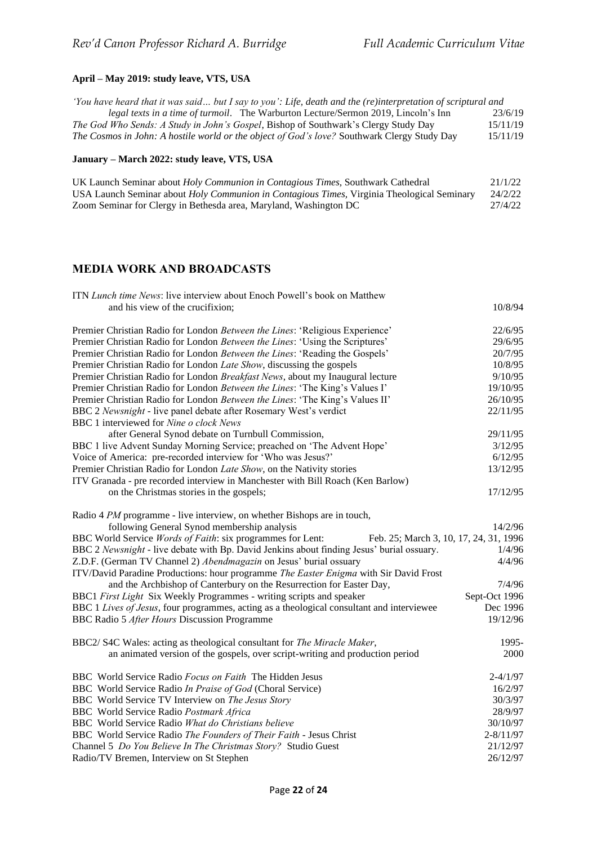## **April – May 2019: study leave, VTS, USA**

| 'You have heard that it was said but I say to you': Life, death and the (re)interpretation of scriptural and |          |
|--------------------------------------------------------------------------------------------------------------|----------|
| <i>legal texts in a time of turmoil.</i> The Warburton Lecture/Sermon 2019, Lincoln's Inn                    | 23/6/19  |
| <i>The God Who Sends: A Study in John's Gospel, Bishop of Southwark's Clergy Study Day</i>                   | 15/11/19 |
| The Cosmos in John: A hostile world or the object of God's love? Southwark Clergy Study Day                  | 15/11/19 |

## **January – March 2022: study leave, VTS, USA**

| UK Launch Seminar about Holy Communion in Contagious Times, Southwark Cathedral                    | 21/1/22 |
|----------------------------------------------------------------------------------------------------|---------|
| USA Launch Seminar about <i>Holy Communion in Contagious Times</i> , Virginia Theological Seminary | 24/2/22 |
| Zoom Seminar for Clergy in Bethesda area, Maryland, Washington DC                                  | 27/4/22 |

## **MEDIA WORK AND BROADCASTS**

| ITN Lunch time News: live interview about Enoch Powell's book on Matthew                                     |               |
|--------------------------------------------------------------------------------------------------------------|---------------|
| and his view of the crucifixion;                                                                             | 10/8/94       |
| Premier Christian Radio for London Between the Lines: 'Religious Experience'                                 | 22/6/95       |
| Premier Christian Radio for London Between the Lines: 'Using the Scriptures'                                 | 29/6/95       |
| Premier Christian Radio for London Between the Lines: 'Reading the Gospels'                                  | 20/7/95       |
| Premier Christian Radio for London Late Show, discussing the gospels                                         | 10/8/95       |
| Premier Christian Radio for London Breakfast News, about my Inaugural lecture                                | 9/10/95       |
| Premier Christian Radio for London Between the Lines: 'The King's Values I'                                  | 19/10/95      |
| Premier Christian Radio for London Between the Lines: 'The King's Values II'                                 | 26/10/95      |
| BBC 2 Newsnight - live panel debate after Rosemary West's verdict<br>BBC 1 interviewed for Nine o clock News | 22/11/95      |
| after General Synod debate on Turnbull Commission,                                                           | 29/11/95      |
| BBC 1 live Advent Sunday Morning Service; preached on 'The Advent Hope'                                      | 3/12/95       |
| Voice of America: pre-recorded interview for 'Who was Jesus?'                                                | 6/12/95       |
| Premier Christian Radio for London Late Show, on the Nativity stories                                        | 13/12/95      |
| ITV Granada - pre recorded interview in Manchester with Bill Roach (Ken Barlow)                              |               |
| on the Christmas stories in the gospels;                                                                     | 17/12/95      |
| Radio 4 PM programme - live interview, on whether Bishops are in touch,                                      |               |
| following General Synod membership analysis                                                                  | 14/2/96       |
| BBC World Service Words of Faith: six programmes for Lent:<br>Feb. 25; March 3, 10, 17, 24, 31, 1996         |               |
| BBC 2 Newsnight - live debate with Bp. David Jenkins about finding Jesus' burial ossuary.                    | 1/4/96        |
| Z.D.F. (German TV Channel 2) Abendmagazin on Jesus' burial ossuary                                           | 4/4/96        |
| ITV/David Paradine Productions: hour programme The Easter Enigma with Sir David Frost                        |               |
| and the Archbishop of Canterbury on the Resurrection for Easter Day,                                         | 7/4/96        |
| BBC1 First Light Six Weekly Programmes - writing scripts and speaker                                         | Sept-Oct 1996 |
| BBC 1 Lives of Jesus, four programmes, acting as a theological consultant and interviewee                    | Dec 1996      |
| BBC Radio 5 After Hours Discussion Programme                                                                 | 19/12/96      |
| BBC2/ S4C Wales: acting as theological consultant for The Miracle Maker,                                     | 1995-         |
| an animated version of the gospels, over script-writing and production period                                | 2000          |
| BBC World Service Radio Focus on Faith The Hidden Jesus                                                      | $2 - 4/1/97$  |
| BBC World Service Radio In Praise of God (Choral Service)                                                    | 16/2/97       |
| BBC World Service TV Interview on The Jesus Story                                                            | 30/3/97       |
| <b>BBC</b> World Service Radio Postmark Africa                                                               | 28/9/97       |
| BBC World Service Radio What do Christians believe                                                           | 30/10/97      |
| BBC World Service Radio The Founders of Their Faith - Jesus Christ                                           | $2 - 8/11/97$ |
| Channel 5 Do You Believe In The Christmas Story? Studio Guest                                                | 21/12/97      |
| Radio/TV Bremen, Interview on St Stephen                                                                     | 26/12/97      |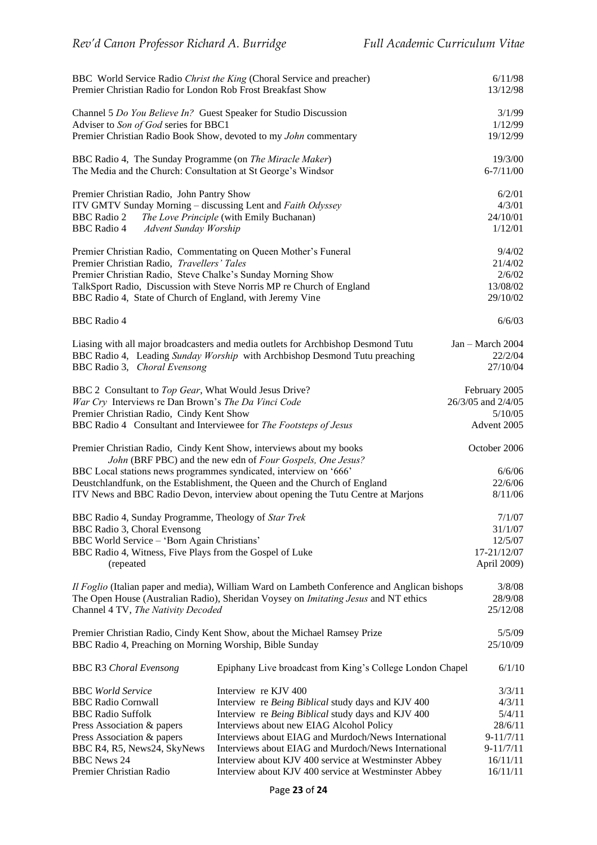| Premier Christian Radio for London Rob Frost Breakfast Show                                                                                                                                                                               | BBC World Service Radio Christ the King (Choral Service and preacher)                                                                                                                                                        | 6/11/98<br>13/12/98                                           |
|-------------------------------------------------------------------------------------------------------------------------------------------------------------------------------------------------------------------------------------------|------------------------------------------------------------------------------------------------------------------------------------------------------------------------------------------------------------------------------|---------------------------------------------------------------|
| Channel 5 Do You Believe In? Guest Speaker for Studio Discussion<br>Adviser to Son of God series for BBC1                                                                                                                                 |                                                                                                                                                                                                                              | 3/1/99<br>1/12/99                                             |
|                                                                                                                                                                                                                                           | Premier Christian Radio Book Show, devoted to my John commentary                                                                                                                                                             | 19/12/99                                                      |
| BBC Radio 4, The Sunday Programme (on The Miracle Maker)<br>The Media and the Church: Consultation at St George's Windsor                                                                                                                 |                                                                                                                                                                                                                              | 19/3/00<br>$6 - 7/11/00$                                      |
| Premier Christian Radio, John Pantry Show<br>ITV GMTV Sunday Morning - discussing Lent and Faith Odyssey<br><b>BBC</b> Radio 2<br><b>BBC</b> Radio 4<br>Advent Sunday Worship                                                             | The Love Principle (with Emily Buchanan)                                                                                                                                                                                     | 6/2/01<br>4/3/01<br>24/10/01<br>1/12/01                       |
| Premier Christian Radio, Commentating on Queen Mother's Funeral<br>Premier Christian Radio, Travellers' Tales<br>Premier Christian Radio, Steve Chalke's Sunday Morning Show<br>BBC Radio 4, State of Church of England, with Jeremy Vine | TalkSport Radio, Discussion with Steve Norris MP re Church of England                                                                                                                                                        | 9/4/02<br>21/4/02<br>2/6/02<br>13/08/02<br>29/10/02           |
| <b>BBC</b> Radio 4                                                                                                                                                                                                                        |                                                                                                                                                                                                                              | 6/6/03                                                        |
| BBC Radio 3, Choral Evensong                                                                                                                                                                                                              | Liasing with all major broadcasters and media outlets for Archbishop Desmond Tutu<br>BBC Radio 4, Leading Sunday Worship with Archbishop Desmond Tutu preaching                                                              | Jan - March 2004<br>22/2/04<br>27/10/04                       |
| BBC 2 Consultant to Top Gear, What Would Jesus Drive?<br>War Cry Interviews re Dan Brown's The Da Vinci Code<br>Premier Christian Radio, Cindy Kent Show<br>BBC Radio 4 Consultant and Interviewee for The Footsteps of Jesus             |                                                                                                                                                                                                                              | February 2005<br>26/3/05 and 2/4/05<br>5/10/05<br>Advent 2005 |
|                                                                                                                                                                                                                                           | Premier Christian Radio, Cindy Kent Show, interviews about my books<br>John (BRF PBC) and the new edn of Four Gospels, One Jesus?                                                                                            | October 2006                                                  |
| BBC Local stations news programmes syndicated, interview on '666'                                                                                                                                                                         | Deustchlandfunk, on the Establishment, the Queen and the Church of England<br>ITV News and BBC Radio Devon, interview about opening the Tutu Centre at Marjons                                                               | 6/6/06<br>22/6/06<br>8/11/06                                  |
| BBC Radio 4, Sunday Programme, Theology of Star Trek<br>BBC Radio 3, Choral Evensong<br>BBC World Service - 'Born Again Christians'                                                                                                       |                                                                                                                                                                                                                              | 7/1/07<br>31/1/07<br>12/5/07                                  |
| BBC Radio 4, Witness, Five Plays from the Gospel of Luke<br>(repeated                                                                                                                                                                     |                                                                                                                                                                                                                              | 17-21/12/07<br>April 2009)                                    |
| Channel 4 TV, The Nativity Decoded                                                                                                                                                                                                        | Il Foglio (Italian paper and media), William Ward on Lambeth Conference and Anglican bishops<br>The Open House (Australian Radio), Sheridan Voysey on Imitating Jesus and NT ethics                                          | 3/8/08<br>28/9/08<br>25/12/08                                 |
| BBC Radio 4, Preaching on Morning Worship, Bible Sunday                                                                                                                                                                                   | Premier Christian Radio, Cindy Kent Show, about the Michael Ramsey Prize                                                                                                                                                     | 5/5/09<br>25/10/09                                            |
| <b>BBC R3 Choral Evensong</b>                                                                                                                                                                                                             | Epiphany Live broadcast from King's College London Chapel                                                                                                                                                                    | 6/1/10                                                        |
| <b>BBC</b> World Service<br><b>BBC Radio Cornwall</b><br><b>BBC Radio Suffolk</b><br>Press Association & papers                                                                                                                           | Interview re KJV 400<br>Interview re Being Biblical study days and KJV 400<br>Interview re Being Biblical study days and KJV 400<br>Interviews about new EIAG Alcohol Policy                                                 | 3/3/11<br>4/3/11<br>5/4/11<br>28/6/11                         |
| Press Association & papers<br>BBC R4, R5, News24, SkyNews<br><b>BBC</b> News 24<br>Premier Christian Radio                                                                                                                                | Interviews about EIAG and Murdoch/News International<br>Interviews about EIAG and Murdoch/News International<br>Interview about KJV 400 service at Westminster Abbey<br>Interview about KJV 400 service at Westminster Abbey | $9 - 11/7/11$<br>$9 - 11/7/11$<br>16/11/11<br>16/11/11        |